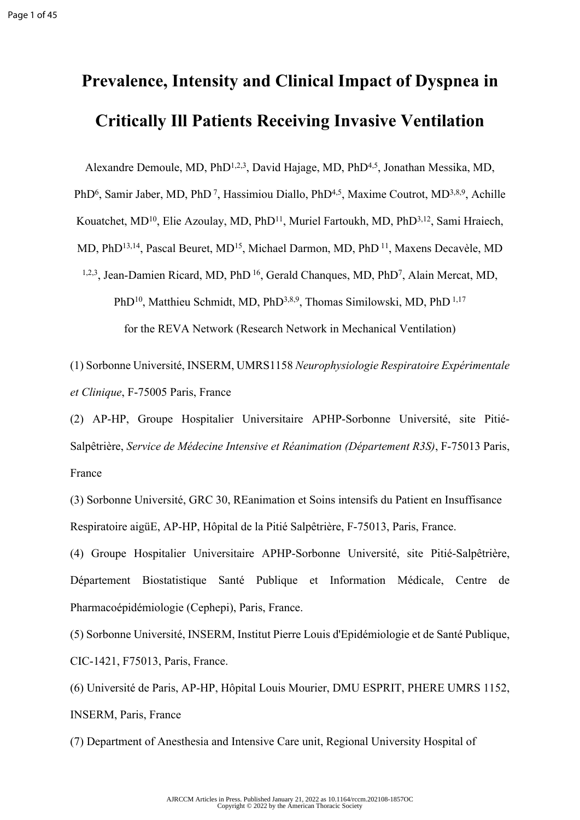## **Prevalence, Intensity and Clinical Impact of Dyspnea in Critically Ill Patients Receiving Invasive Ventilation**

Alexandre Demoule, MD, PhD1,2,3, David Hajage, MD, PhD4,5, Jonathan Messika, MD,

PhD<sup>6</sup>, Samir Jaber, MD, PhD<sup>7</sup>, Hassimiou Diallo, PhD<sup>4,5</sup>, Maxime Coutrot, MD<sup>3,8,9</sup>, Achille

Kouatchet, MD<sup>10</sup>, Elie Azoulay, MD, PhD<sup>11</sup>, Muriel Fartoukh, MD, PhD<sup>3,12</sup>, Sami Hraiech,

MD, PhD<sup>13,14</sup>, Pascal Beuret, MD<sup>15</sup>, Michael Darmon, MD, PhD<sup>11</sup>, Maxens Decavèle, MD

<sup>1,2,3</sup>, Jean-Damien Ricard, MD, PhD<sup>16</sup>, Gerald Chanques, MD, PhD<sup>7</sup>, Alain Mercat, MD,

PhD<sup>10</sup>, Matthieu Schmidt, MD, PhD<sup>3,8,9</sup>, Thomas Similowski, MD, PhD<sup>1,17</sup>

for the REVA Network (Research Network in Mechanical Ventilation)

(1) Sorbonne Université, INSERM, UMRS1158 *Neurophysiologie Respiratoire Expérimentale et Clinique*, F-75005 Paris, France

(2) AP-HP, Groupe Hospitalier Universitaire APHP-Sorbonne Université, site Pitié-Salpêtrière, *Service de Médecine Intensive et Réanimation (Département R3S)*, F-75013 Paris, France

(3) Sorbonne Université, GRC 30, REanimation et Soins intensifs du Patient en Insuffisance Respiratoire aigüE, AP-HP, Hôpital de la Pitié Salpêtrière, F-75013, Paris, France.

(4) Groupe Hospitalier Universitaire APHP-Sorbonne Université, site Pitié-Salpêtrière, Département Biostatistique Santé Publique et Information Médicale, Centre de Pharmacoépidémiologie (Cephepi), Paris, France.

(5) Sorbonne Université, INSERM, Institut Pierre Louis d'Epidémiologie et de Santé Publique, CIC-1421, F75013, Paris, France.

(6) Université de Paris, AP-HP, Hôpital Louis Mourier, DMU ESPRIT, PHERE UMRS 1152, INSERM, Paris, France

(7) Department of Anesthesia and Intensive Care unit, Regional University Hospital of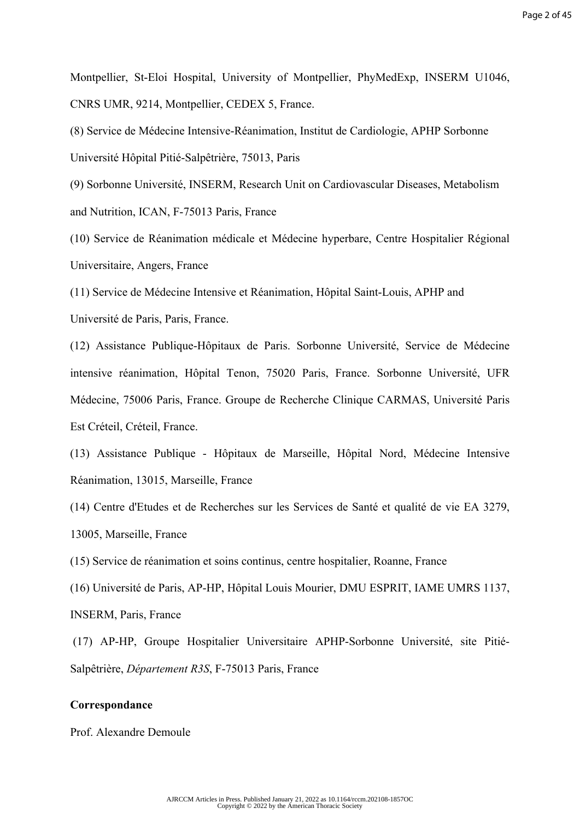Montpellier, St-Eloi Hospital, University of Montpellier, PhyMedExp, INSERM U1046, CNRS UMR, 9214, Montpellier, CEDEX 5, France.

(8) Service de Médecine Intensive-Réanimation, Institut de Cardiologie, APHP Sorbonne Université Hôpital Pitié-Salpêtrière, 75013, Paris

(9) Sorbonne Université, INSERM, Research Unit on Cardiovascular Diseases, Metabolism and Nutrition, ICAN, F-75013 Paris, France

(10) Service de Réanimation médicale et Médecine hyperbare, Centre Hospitalier Régional Universitaire, Angers, France

(11) Service de Médecine Intensive et Réanimation, Hôpital Saint-Louis, APHP and Université de Paris, Paris, France.

(12) Assistance Publique-Hôpitaux de Paris. Sorbonne Université, Service de Médecine intensive réanimation, Hôpital Tenon, 75020 Paris, France. Sorbonne Université, UFR Médecine, 75006 Paris, France. Groupe de Recherche Clinique CARMAS, Université Paris Est Créteil, Créteil, France.

(13) Assistance Publique - Hôpitaux de Marseille, Hôpital Nord, Médecine Intensive Réanimation, 13015, Marseille, France

(14) Centre d'Etudes et de Recherches sur les Services de Santé et qualité de vie EA 3279, 13005, Marseille, France

(15) Service de réanimation et soins continus, centre hospitalier, Roanne, France

(16) Université de Paris, AP-HP, Hôpital Louis Mourier, DMU ESPRIT, IAME UMRS 1137, INSERM, Paris, France

 (17) AP-HP, Groupe Hospitalier Universitaire APHP-Sorbonne Université, site Pitié-Salpêtrière, *Département R3S*, F-75013 Paris, France

#### **Correspondance**

Prof. Alexandre Demoule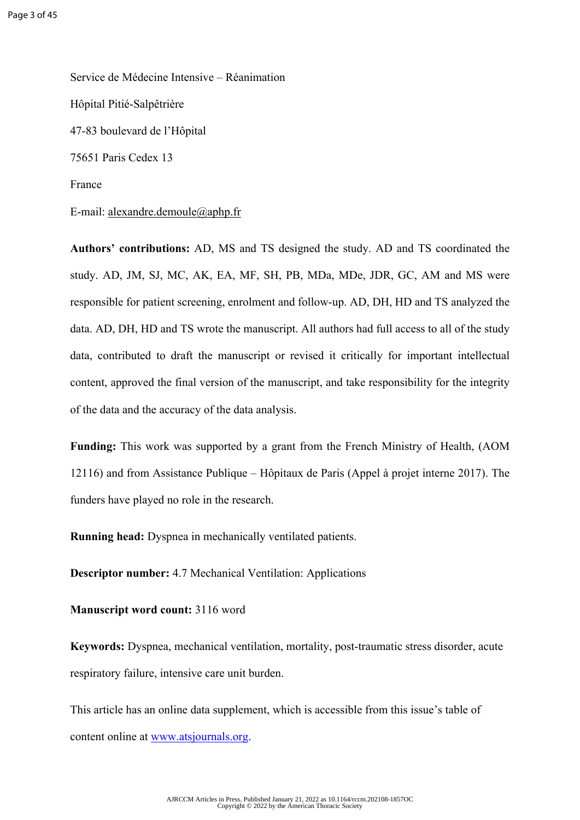Service de Médecine Intensive – Réanimation Hôpital Pitié-Salpêtrière 47-83 boulevard de l'Hôpital 75651 Paris Cedex 13 France

E-mail: [alexandre.demoule@aphp.fr](mailto:alexandre.demoule@aphp.fr)

**Authors' contributions:** AD, MS and TS designed the study. AD and TS coordinated the study. AD, JM, SJ, MC, AK, EA, MF, SH, PB, MDa, MDe, JDR, GC, AM and MS were responsible for patient screening, enrolment and follow-up. AD, DH, HD and TS analyzed the data. AD, DH, HD and TS wrote the manuscript. All authors had full access to all of the study data, contributed to draft the manuscript or revised it critically for important intellectual content, approved the final version of the manuscript, and take responsibility for the integrity of the data and the accuracy of the data analysis.

**Funding:** This work was supported by a grant from the French Ministry of Health, (AOM 12116) and from Assistance Publique – Hôpitaux de Paris (Appel à projet interne 2017). The funders have played no role in the research.

**Running head:** Dyspnea in mechanically ventilated patients.

**Descriptor number:** 4.7 Mechanical Ventilation: Applications

**Manuscript word count:** 3116 word

**Keywords:** Dyspnea, mechanical ventilation, mortality, post-traumatic stress disorder, acute respiratory failure, intensive care unit burden.

This article has an online data supplement, which is accessible from this issue's table of content online at [www.atsjournals.org.](http://www.atsjournals.org)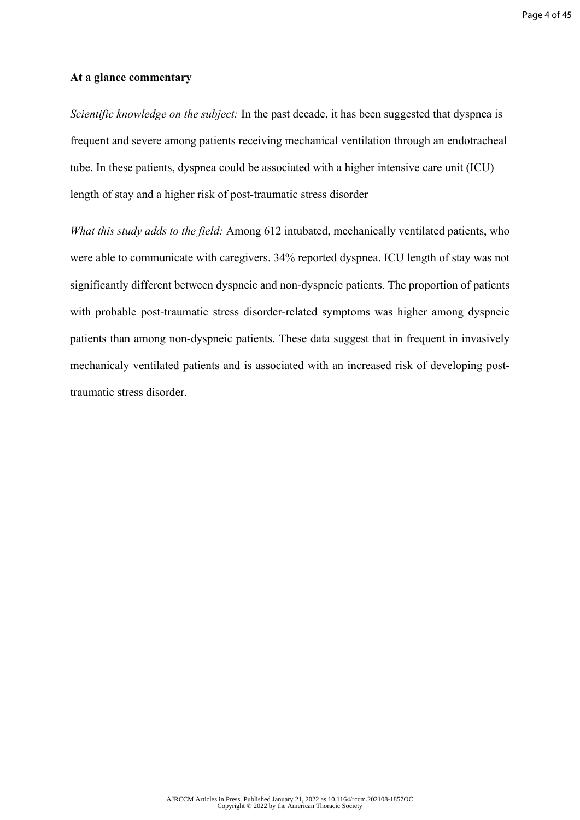#### **At a glance commentary**

*Scientific knowledge on the subject:* In the past decade, it has been suggested that dyspnea is frequent and severe among patients receiving mechanical ventilation through an endotracheal tube. In these patients, dyspnea could be associated with a higher intensive care unit (ICU) length of stay and a higher risk of post-traumatic stress disorder

*What this study adds to the field:* Among 612 intubated, mechanically ventilated patients, who were able to communicate with caregivers. 34% reported dyspnea. ICU length of stay was not significantly different between dyspneic and non-dyspneic patients. The proportion of patients with probable post-traumatic stress disorder-related symptoms was higher among dyspneic patients than among non-dyspneic patients. These data suggest that in frequent in invasively mechanicaly ventilated patients and is associated with an increased risk of developing posttraumatic stress disorder.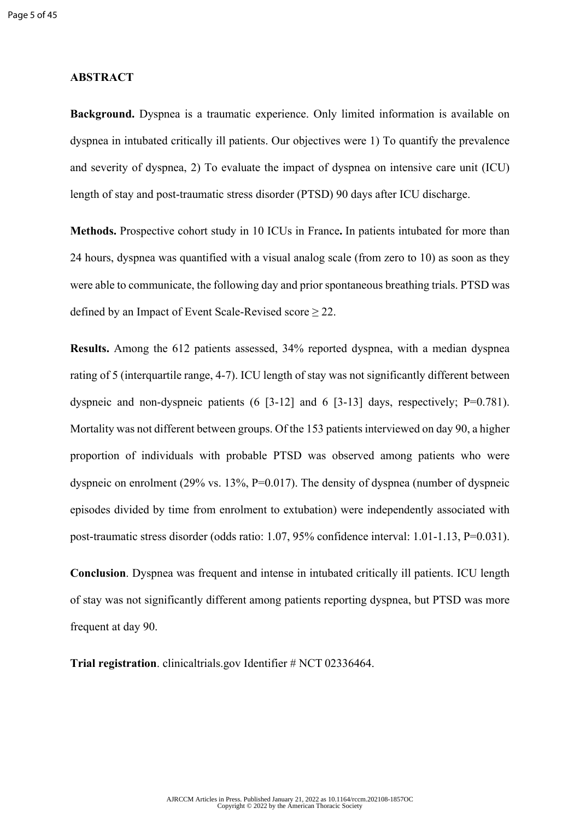#### **ABSTRACT**

**Background.** Dyspnea is a traumatic experience. Only limited information is available on dyspnea in intubated critically ill patients. Our objectives were 1) To quantify the prevalence and severity of dyspnea, 2) To evaluate the impact of dyspnea on intensive care unit (ICU) length of stay and post-traumatic stress disorder (PTSD) 90 days after ICU discharge.

**Methods.** Prospective cohort study in 10 ICUs in France**.** In patients intubated for more than 24 hours, dyspnea was quantified with a visual analog scale (from zero to 10) as soon as they were able to communicate, the following day and prior spontaneous breathing trials. PTSD was defined by an Impact of Event Scale-Revised score  $\geq 22$ .

**Results.** Among the 612 patients assessed, 34% reported dyspnea, with a median dyspnea rating of 5 (interquartile range, 4-7). ICU length of stay was not significantly different between dyspneic and non-dyspneic patients (6 [3-12] and 6 [3-13] days, respectively; P=0.781). Mortality was not different between groups. Of the 153 patients interviewed on day 90, a higher proportion of individuals with probable PTSD was observed among patients who were dyspneic on enrolment (29% vs. 13%, P=0.017). The density of dyspnea (number of dyspneic episodes divided by time from enrolment to extubation) were independently associated with post-traumatic stress disorder (odds ratio: 1.07, 95% confidence interval: 1.01-1.13, P=0.031).

**Conclusion**. Dyspnea was frequent and intense in intubated critically ill patients. ICU length of stay was not significantly different among patients reporting dyspnea, but PTSD was more frequent at day 90.

**Trial registration**. clinicaltrials.gov Identifier # NCT 02336464.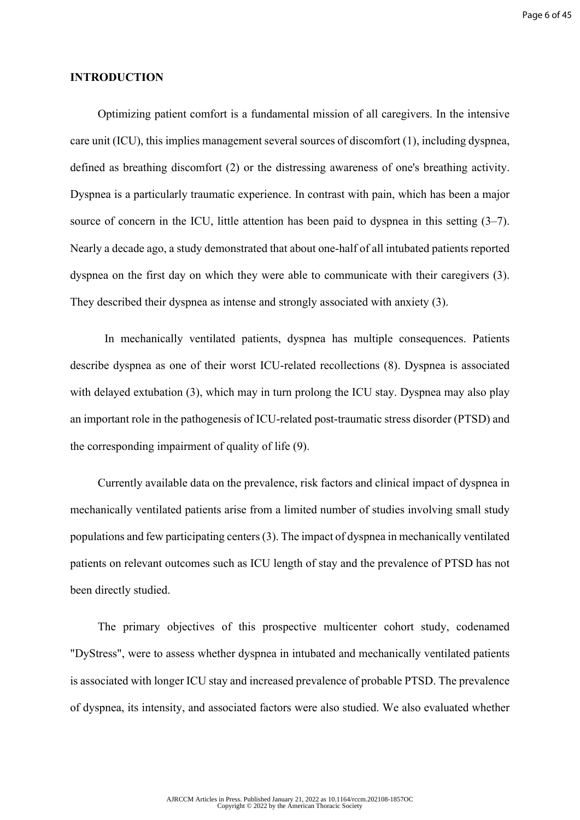#### **INTRODUCTION**

Optimizing patient comfort is a fundamental mission of all caregivers. In the intensive care unit (ICU), this implies management several sources of discomfort (1), including dyspnea, defined as breathing discomfort (2) or the distressing awareness of one's breathing activity. Dyspnea is a particularly traumatic experience. In contrast with pain, which has been a major source of concern in the ICU, little attention has been paid to dyspnea in this setting (3–7). Nearly a decade ago, a study demonstrated that about one-half of all intubated patients reported dyspnea on the first day on which they were able to communicate with their caregivers (3). They described their dyspnea as intense and strongly associated with anxiety (3).

In mechanically ventilated patients, dyspnea has multiple consequences. Patients describe dyspnea as one of their worst ICU-related recollections (8). Dyspnea is associated with delayed extubation (3), which may in turn prolong the ICU stay. Dyspnea may also play an important role in the pathogenesis of ICU-related post-traumatic stress disorder (PTSD) and the corresponding impairment of quality of life (9).

Currently available data on the prevalence, risk factors and clinical impact of dyspnea in mechanically ventilated patients arise from a limited number of studies involving small study populations and few participating centers (3). The impact of dyspnea in mechanically ventilated patients on relevant outcomes such as ICU length of stay and the prevalence of PTSD has not been directly studied.

The primary objectives of this prospective multicenter cohort study, codenamed "DyStress", were to assess whether dyspnea in intubated and mechanically ventilated patients is associated with longer ICU stay and increased prevalence of probable PTSD. The prevalence of dyspnea, its intensity, and associated factors were also studied. We also evaluated whether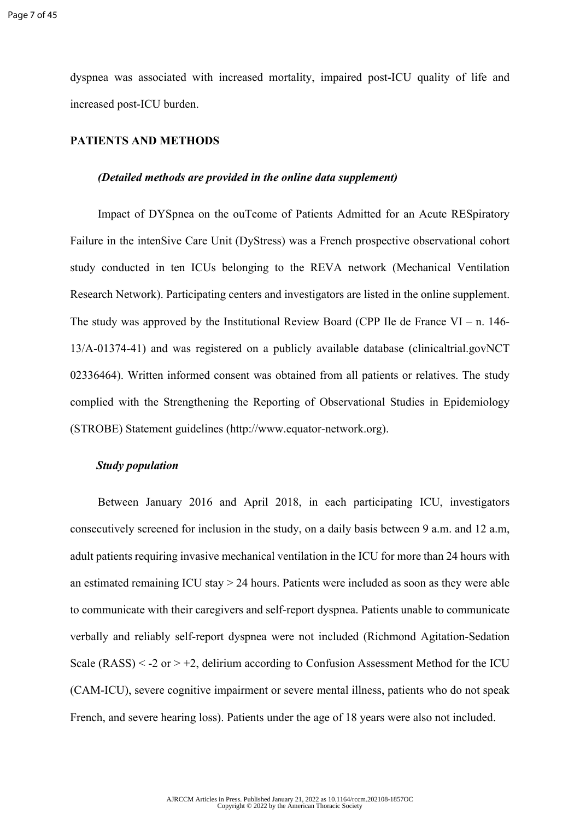dyspnea was associated with increased mortality, impaired post-ICU quality of life and increased post-ICU burden.

#### **PATIENTS AND METHODS**

#### *(Detailed methods are provided in the online data supplement)*

Impact of DYSpnea on the ouTcome of Patients Admitted for an Acute RESpiratory Failure in the intenSive Care Unit (DyStress) was a French prospective observational cohort study conducted in ten ICUs belonging to the REVA network (Mechanical Ventilation Research Network). Participating centers and investigators are listed in the online supplement. The study was approved by the Institutional Review Board (CPP Ile de France VI – n. 146-13/A-01374-41) and was registered on a publicly available database (clinicaltrial.govNCT 02336464). Written informed consent was obtained from all patients or relatives. The study complied with the Strengthening the Reporting of Observational Studies in Epidemiology (STROBE) Statement guidelines (http://www.equator-network.org).

#### *Study population*

Between January 2016 and April 2018, in each participating ICU, investigators consecutively screened for inclusion in the study, on a daily basis between 9 a.m. and 12 a.m, adult patients requiring invasive mechanical ventilation in the ICU for more than 24 hours with an estimated remaining ICU stay > 24 hours. Patients were included as soon as they were able to communicate with their caregivers and self-report dyspnea. Patients unable to communicate verbally and reliably self-report dyspnea were not included (Richmond Agitation-Sedation Scale  $(RASS) < -2$  or  $> +2$ , delirium according to Confusion Assessment Method for the ICU (CAM-ICU), severe cognitive impairment or severe mental illness, patients who do not speak French, and severe hearing loss). Patients under the age of 18 years were also not included.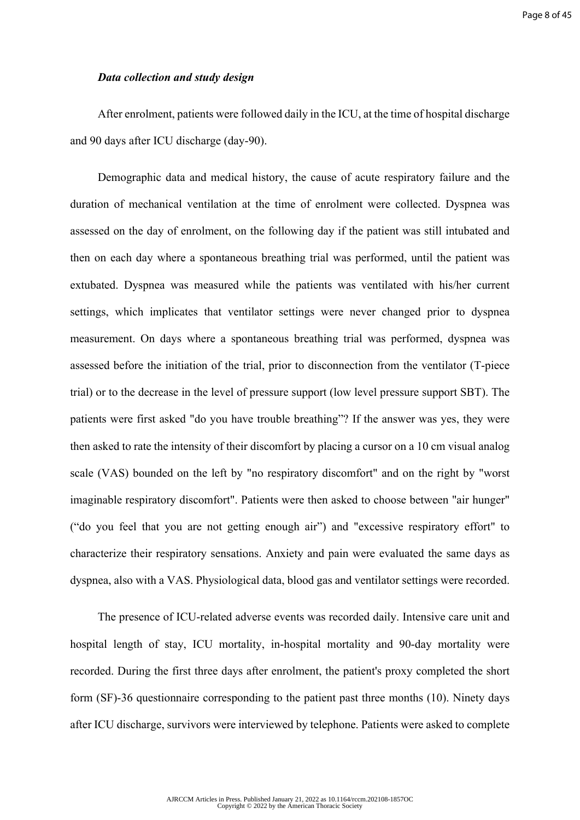#### *Data collection and study design*

After enrolment, patients were followed daily in the ICU, at the time of hospital discharge and 90 days after ICU discharge (day-90).

Demographic data and medical history, the cause of acute respiratory failure and the duration of mechanical ventilation at the time of enrolment were collected. Dyspnea was assessed on the day of enrolment, on the following day if the patient was still intubated and then on each day where a spontaneous breathing trial was performed, until the patient was extubated. Dyspnea was measured while the patients was ventilated with his/her current settings, which implicates that ventilator settings were never changed prior to dyspnea measurement. On days where a spontaneous breathing trial was performed, dyspnea was assessed before the initiation of the trial, prior to disconnection from the ventilator (T-piece trial) or to the decrease in the level of pressure support (low level pressure support SBT). The patients were first asked "do you have trouble breathing"? If the answer was yes, they were then asked to rate the intensity of their discomfort by placing a cursor on a 10 cm visual analog scale (VAS) bounded on the left by "no respiratory discomfort" and on the right by "worst imaginable respiratory discomfort". Patients were then asked to choose between "air hunger" ("do you feel that you are not getting enough air") and "excessive respiratory effort" to characterize their respiratory sensations. Anxiety and pain were evaluated the same days as dyspnea, also with a VAS. Physiological data, blood gas and ventilator settings were recorded.

The presence of ICU-related adverse events was recorded daily. Intensive care unit and hospital length of stay, ICU mortality, in-hospital mortality and 90-day mortality were recorded. During the first three days after enrolment, the patient's proxy completed the short form (SF)-36 questionnaire corresponding to the patient past three months (10). Ninety days after ICU discharge, survivors were interviewed by telephone. Patients were asked to complete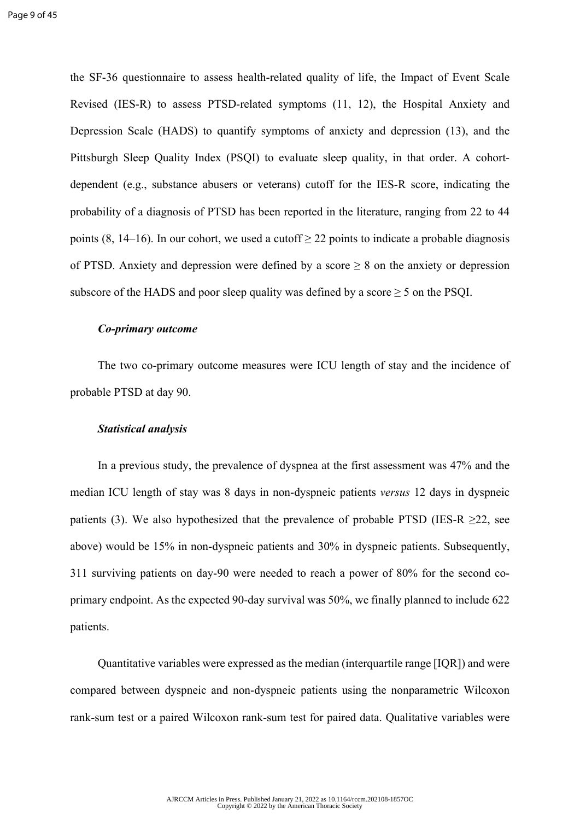the SF-36 questionnaire to assess health-related quality of life, the Impact of Event Scale Revised (IES-R) to assess PTSD-related symptoms (11, 12), the Hospital Anxiety and Depression Scale (HADS) to quantify symptoms of anxiety and depression (13), and the Pittsburgh Sleep Quality Index (PSQI) to evaluate sleep quality, in that order. A cohortdependent (e.g., substance abusers or veterans) cutoff for the IES-R score, indicating the probability of a diagnosis of PTSD has been reported in the literature, ranging from 22 to 44 points (8, 14–16). In our cohort, we used a cutoff  $\geq$  22 points to indicate a probable diagnosis of PTSD. Anxiety and depression were defined by a score  $\geq 8$  on the anxiety or depression subscore of the HADS and poor sleep quality was defined by a score  $\geq$  5 on the PSQI.

#### *Co-primary outcome*

The two co-primary outcome measures were ICU length of stay and the incidence of probable PTSD at day 90.

#### *Statistical analysis*

In a previous study, the prevalence of dyspnea at the first assessment was 47% and the median ICU length of stay was 8 days in non-dyspneic patients *versus* 12 days in dyspneic patients (3). We also hypothesized that the prevalence of probable PTSD (IES-R  $\geq$ 22, see above) would be 15% in non-dyspneic patients and 30% in dyspneic patients. Subsequently, 311 surviving patients on day-90 were needed to reach a power of 80% for the second coprimary endpoint. As the expected 90-day survival was 50%, we finally planned to include 622 patients.

Quantitative variables were expressed as the median (interquartile range [IQR]) and were compared between dyspneic and non-dyspneic patients using the nonparametric Wilcoxon rank-sum test or a paired Wilcoxon rank-sum test for paired data. Qualitative variables were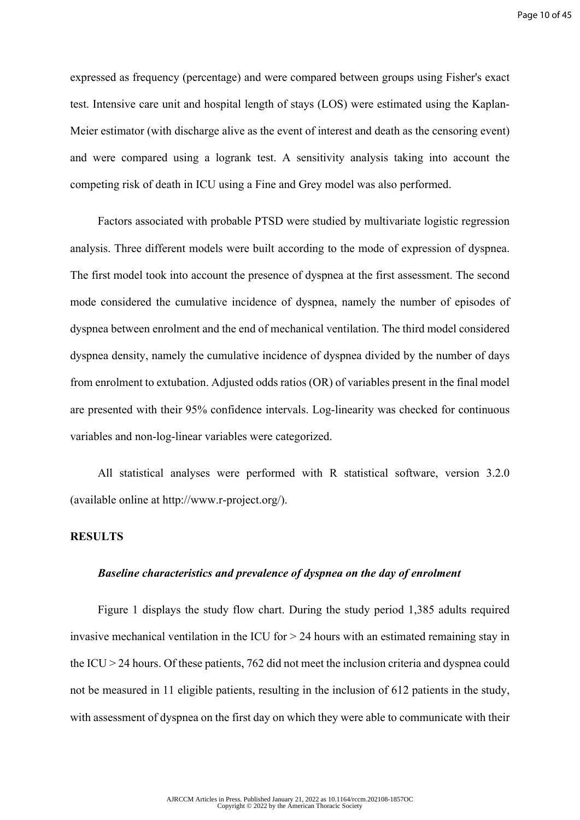expressed as frequency (percentage) and were compared between groups using Fisher's exact test. Intensive care unit and hospital length of stays (LOS) were estimated using the Kaplan-Meier estimator (with discharge alive as the event of interest and death as the censoring event) and were compared using a logrank test. A sensitivity analysis taking into account the competing risk of death in ICU using a Fine and Grey model was also performed.

Factors associated with probable PTSD were studied by multivariate logistic regression analysis. Three different models were built according to the mode of expression of dyspnea. The first model took into account the presence of dyspnea at the first assessment. The second mode considered the cumulative incidence of dyspnea, namely the number of episodes of dyspnea between enrolment and the end of mechanical ventilation. The third model considered dyspnea density, namely the cumulative incidence of dyspnea divided by the number of days from enrolment to extubation. Adjusted odds ratios (OR) of variables present in the final model are presented with their 95% confidence intervals. Log-linearity was checked for continuous variables and non-log-linear variables were categorized.

All statistical analyses were performed with R statistical software, version 3.2.0 (available online at http://www.r-project.org/).

#### **RESULTS**

#### *Baseline characteristics and prevalence of dyspnea on the day of enrolment*

Figure 1 displays the study flow chart. During the study period 1,385 adults required invasive mechanical ventilation in the ICU for  $> 24$  hours with an estimated remaining stay in the ICU > 24 hours. Of these patients, 762 did not meet the inclusion criteria and dyspnea could not be measured in 11 eligible patients, resulting in the inclusion of 612 patients in the study, with assessment of dyspnea on the first day on which they were able to communicate with their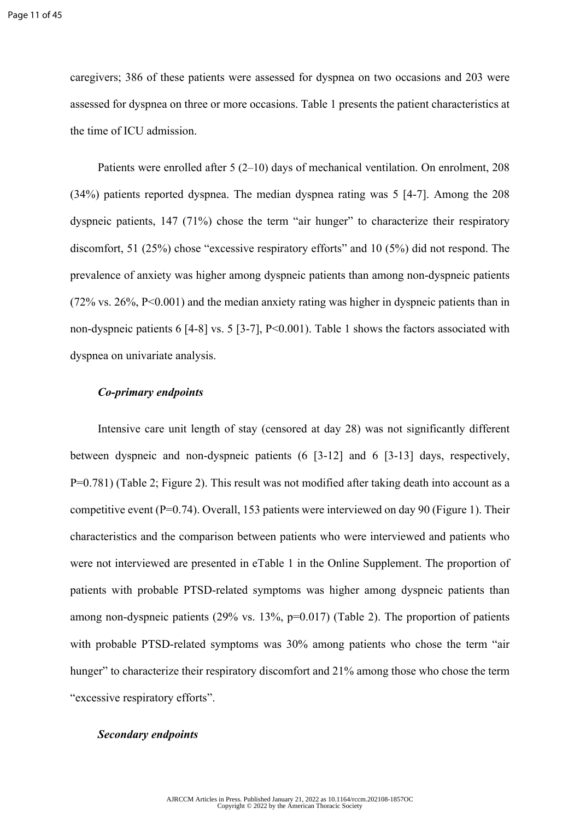caregivers; 386 of these patients were assessed for dyspnea on two occasions and 203 were assessed for dyspnea on three or more occasions. Table 1 presents the patient characteristics at the time of ICU admission.

Patients were enrolled after 5 (2–10) days of mechanical ventilation. On enrolment, 208 (34%) patients reported dyspnea. The median dyspnea rating was 5 [4-7]. Among the 208 dyspneic patients, 147 (71%) chose the term "air hunger" to characterize their respiratory discomfort, 51 (25%) chose "excessive respiratory efforts" and 10 (5%) did not respond. The prevalence of anxiety was higher among dyspneic patients than among non-dyspneic patients (72% vs. 26%, P<0.001) and the median anxiety rating was higher in dyspneic patients than in non-dyspneic patients 6 [4-8] vs. 5 [3-7], P<0.001). Table 1 shows the factors associated with dyspnea on univariate analysis.

#### *Co-primary endpoints*

Intensive care unit length of stay (censored at day 28) was not significantly different between dyspneic and non-dyspneic patients (6 [3-12] and 6 [3-13] days, respectively, P=0.781) (Table 2; Figure 2). This result was not modified after taking death into account as a competitive event (P=0.74). Overall, 153 patients were interviewed on day 90 (Figure 1). Their characteristics and the comparison between patients who were interviewed and patients who were not interviewed are presented in eTable 1 in the Online Supplement. The proportion of patients with probable PTSD-related symptoms was higher among dyspneic patients than among non-dyspneic patients (29% vs. 13%, p=0.017) (Table 2). The proportion of patients with probable PTSD-related symptoms was 30% among patients who chose the term "air hunger" to characterize their respiratory discomfort and 21% among those who chose the term "excessive respiratory efforts".

#### *Secondary endpoints*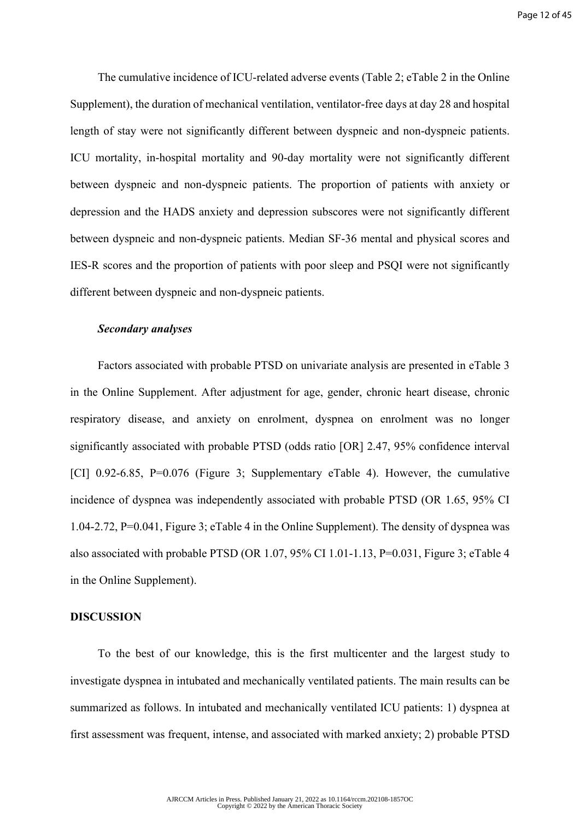The cumulative incidence of ICU-related adverse events (Table 2; eTable 2 in the Online Supplement), the duration of mechanical ventilation, ventilator-free days at day 28 and hospital length of stay were not significantly different between dyspneic and non-dyspneic patients. ICU mortality, in-hospital mortality and 90-day mortality were not significantly different between dyspneic and non-dyspneic patients. The proportion of patients with anxiety or depression and the HADS anxiety and depression subscores were not significantly different between dyspneic and non-dyspneic patients. Median SF-36 mental and physical scores and IES-R scores and the proportion of patients with poor sleep and PSQI were not significantly different between dyspneic and non-dyspneic patients.

#### *Secondary analyses*

Factors associated with probable PTSD on univariate analysis are presented in eTable 3 in the Online Supplement. After adjustment for age, gender, chronic heart disease, chronic respiratory disease, and anxiety on enrolment, dyspnea on enrolment was no longer significantly associated with probable PTSD (odds ratio [OR] 2.47, 95% confidence interval [CI] 0.92-6.85, P=0.076 (Figure 3; Supplementary eTable 4). However, the cumulative incidence of dyspnea was independently associated with probable PTSD (OR 1.65, 95% CI 1.04-2.72, P=0.041, Figure 3; eTable 4 in the Online Supplement). The density of dyspnea was also associated with probable PTSD (OR 1.07, 95% CI 1.01-1.13, P=0.031, Figure 3; eTable 4 in the Online Supplement).

#### **DISCUSSION**

To the best of our knowledge, this is the first multicenter and the largest study to investigate dyspnea in intubated and mechanically ventilated patients. The main results can be summarized as follows. In intubated and mechanically ventilated ICU patients: 1) dyspnea at first assessment was frequent, intense, and associated with marked anxiety; 2) probable PTSD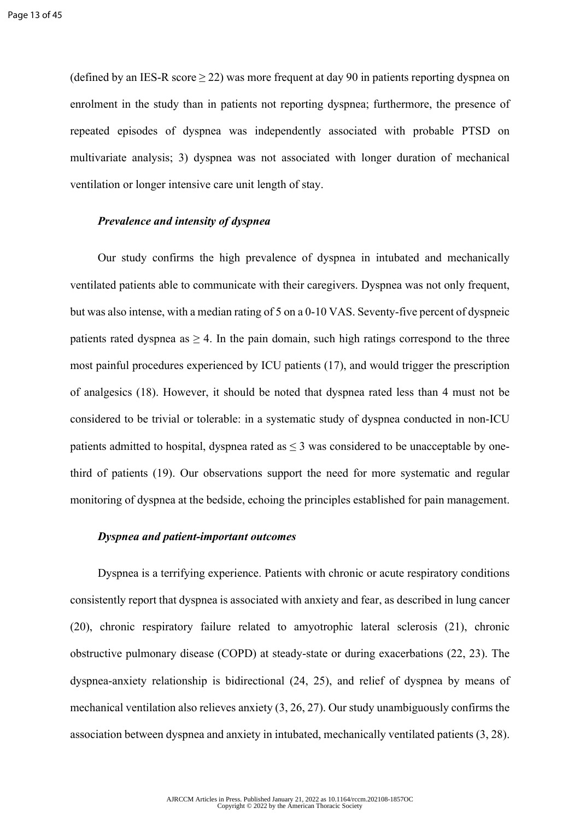(defined by an IES-R score  $\geq$  22) was more frequent at day 90 in patients reporting dyspnea on enrolment in the study than in patients not reporting dyspnea; furthermore, the presence of repeated episodes of dyspnea was independently associated with probable PTSD on multivariate analysis; 3) dyspnea was not associated with longer duration of mechanical ventilation or longer intensive care unit length of stay.

#### *Prevalence and intensity of dyspnea*

Our study confirms the high prevalence of dyspnea in intubated and mechanically ventilated patients able to communicate with their caregivers. Dyspnea was not only frequent, but was also intense, with a median rating of 5 on a 0-10 VAS. Seventy-five percent of dyspneic patients rated dyspnea as  $> 4$ . In the pain domain, such high ratings correspond to the three most painful procedures experienced by ICU patients (17), and would trigger the prescription of analgesics (18). However, it should be noted that dyspnea rated less than 4 must not be considered to be trivial or tolerable: in a systematic study of dyspnea conducted in non-ICU patients admitted to hospital, dyspnea rated as  $\leq$  3 was considered to be unacceptable by onethird of patients (19). Our observations support the need for more systematic and regular monitoring of dyspnea at the bedside, echoing the principles established for pain management.

#### *Dyspnea and patient-important outcomes*

Dyspnea is a terrifying experience. Patients with chronic or acute respiratory conditions consistently report that dyspnea is associated with anxiety and fear, as described in lung cancer (20), chronic respiratory failure related to amyotrophic lateral sclerosis (21), chronic obstructive pulmonary disease (COPD) at steady-state or during exacerbations (22, 23). The dyspnea-anxiety relationship is bidirectional (24, 25), and relief of dyspnea by means of mechanical ventilation also relieves anxiety (3, 26, 27). Our study unambiguously confirms the association between dyspnea and anxiety in intubated, mechanically ventilated patients (3, 28).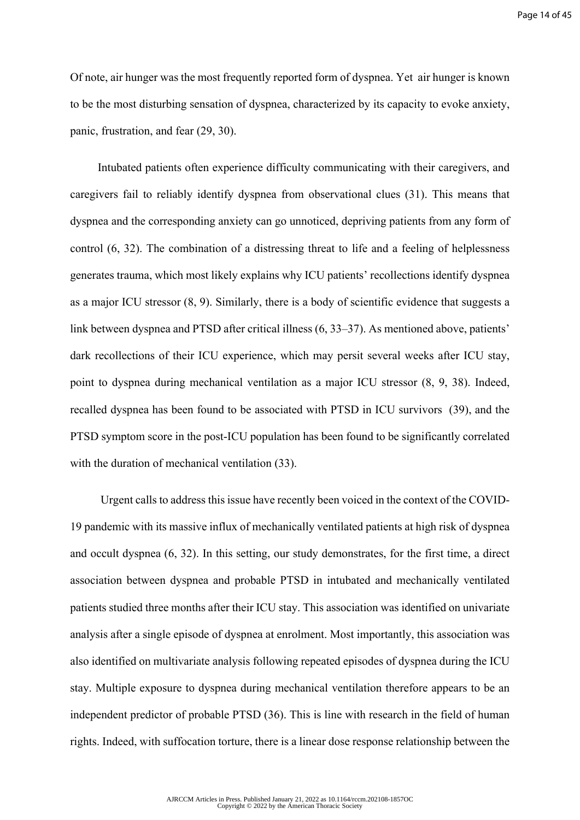Of note, air hunger was the most frequently reported form of dyspnea. Yet air hunger is known to be the most disturbing sensation of dyspnea, characterized by its capacity to evoke anxiety, panic, frustration, and fear (29, 30).

Intubated patients often experience difficulty communicating with their caregivers, and caregivers fail to reliably identify dyspnea from observational clues (31). This means that dyspnea and the corresponding anxiety can go unnoticed, depriving patients from any form of control (6, 32). The combination of a distressing threat to life and a feeling of helplessness generates trauma, which most likely explains why ICU patients' recollections identify dyspnea as a major ICU stressor (8, 9). Similarly, there is a body of scientific evidence that suggests a link between dyspnea and PTSD after critical illness (6, 33–37). As mentioned above, patients' dark recollections of their ICU experience, which may persit several weeks after ICU stay, point to dyspnea during mechanical ventilation as a major ICU stressor (8, 9, 38). Indeed, recalled dyspnea has been found to be associated with PTSD in ICU survivors (39), and the PTSD symptom score in the post-ICU population has been found to be significantly correlated with the duration of mechanical ventilation (33).

 Urgent calls to address this issue have recently been voiced in the context of the COVID-19 pandemic with its massive influx of mechanically ventilated patients at high risk of dyspnea and occult dyspnea (6, 32). In this setting, our study demonstrates, for the first time, a direct association between dyspnea and probable PTSD in intubated and mechanically ventilated patients studied three months after their ICU stay. This association was identified on univariate analysis after a single episode of dyspnea at enrolment. Most importantly, this association was also identified on multivariate analysis following repeated episodes of dyspnea during the ICU stay. Multiple exposure to dyspnea during mechanical ventilation therefore appears to be an independent predictor of probable PTSD (36). This is line with research in the field of human rights. Indeed, with suffocation torture, there is a linear dose response relationship between the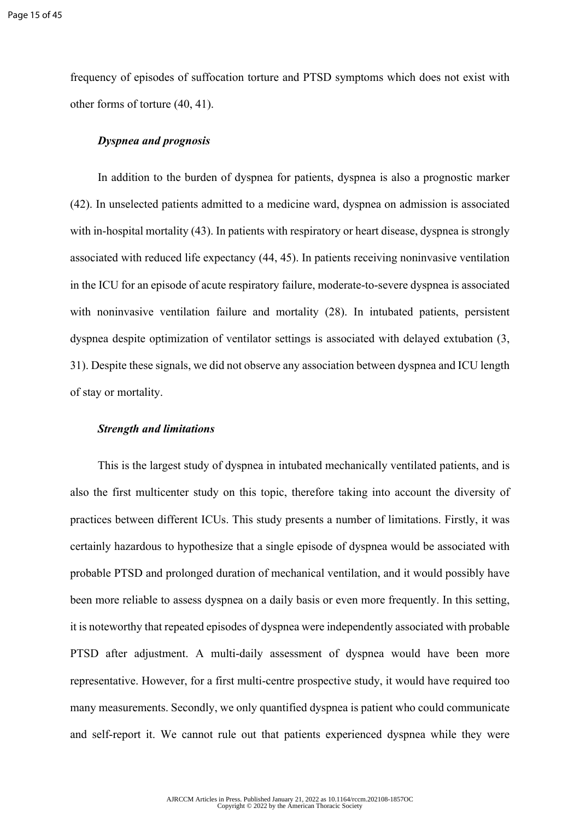frequency of episodes of suffocation torture and PTSD symptoms which does not exist with other forms of torture (40, 41).

#### *Dyspnea and prognosis*

In addition to the burden of dyspnea for patients, dyspnea is also a prognostic marker (42). In unselected patients admitted to a medicine ward, dyspnea on admission is associated with in-hospital mortality (43). In patients with respiratory or heart disease, dyspnea is strongly associated with reduced life expectancy (44, 45). In patients receiving noninvasive ventilation in the ICU for an episode of acute respiratory failure, moderate-to-severe dyspnea is associated with noninvasive ventilation failure and mortality (28). In intubated patients, persistent dyspnea despite optimization of ventilator settings is associated with delayed extubation (3, 31). Despite these signals, we did not observe any association between dyspnea and ICU length of stay or mortality.

#### *Strength and limitations*

This is the largest study of dyspnea in intubated mechanically ventilated patients, and is also the first multicenter study on this topic, therefore taking into account the diversity of practices between different ICUs. This study presents a number of limitations. Firstly, it was certainly hazardous to hypothesize that a single episode of dyspnea would be associated with probable PTSD and prolonged duration of mechanical ventilation, and it would possibly have been more reliable to assess dyspnea on a daily basis or even more frequently. In this setting, it is noteworthy that repeated episodes of dyspnea were independently associated with probable PTSD after adjustment. A multi-daily assessment of dyspnea would have been more representative. However, for a first multi-centre prospective study, it would have required too many measurements. Secondly, we only quantified dyspnea is patient who could communicate and self-report it. We cannot rule out that patients experienced dyspnea while they were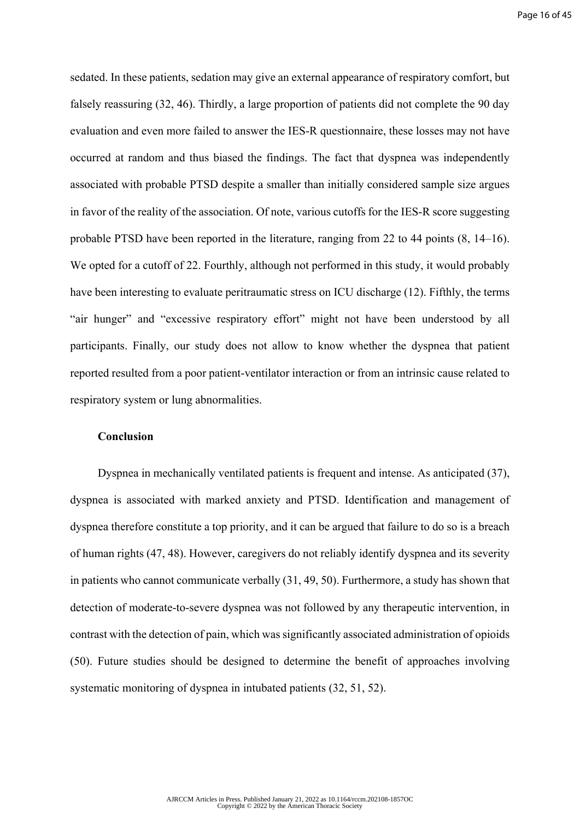sedated. In these patients, sedation may give an external appearance of respiratory comfort, but falsely reassuring (32, 46). Thirdly, a large proportion of patients did not complete the 90 day evaluation and even more failed to answer the IES-R questionnaire, these losses may not have occurred at random and thus biased the findings. The fact that dyspnea was independently associated with probable PTSD despite a smaller than initially considered sample size argues in favor of the reality of the association. Of note, various cutoffs for the IES-R score suggesting probable PTSD have been reported in the literature, ranging from 22 to 44 points (8, 14–16). We opted for a cutoff of 22. Fourthly, although not performed in this study, it would probably have been interesting to evaluate peritraumatic stress on ICU discharge (12). Fifthly, the terms "air hunger" and "excessive respiratory effort" might not have been understood by all participants. Finally, our study does not allow to know whether the dyspnea that patient reported resulted from a poor patient-ventilator interaction or from an intrinsic cause related to respiratory system or lung abnormalities.

#### **Conclusion**

Dyspnea in mechanically ventilated patients is frequent and intense. As anticipated (37), dyspnea is associated with marked anxiety and PTSD. Identification and management of dyspnea therefore constitute a top priority, and it can be argued that failure to do so is a breach of human rights (47, 48). However, caregivers do not reliably identify dyspnea and its severity in patients who cannot communicate verbally (31, 49, 50). Furthermore, a study has shown that detection of moderate-to-severe dyspnea was not followed by any therapeutic intervention, in contrast with the detection of pain, which was significantly associated administration of opioids (50). Future studies should be designed to determine the benefit of approaches involving systematic monitoring of dyspnea in intubated patients (32, 51, 52).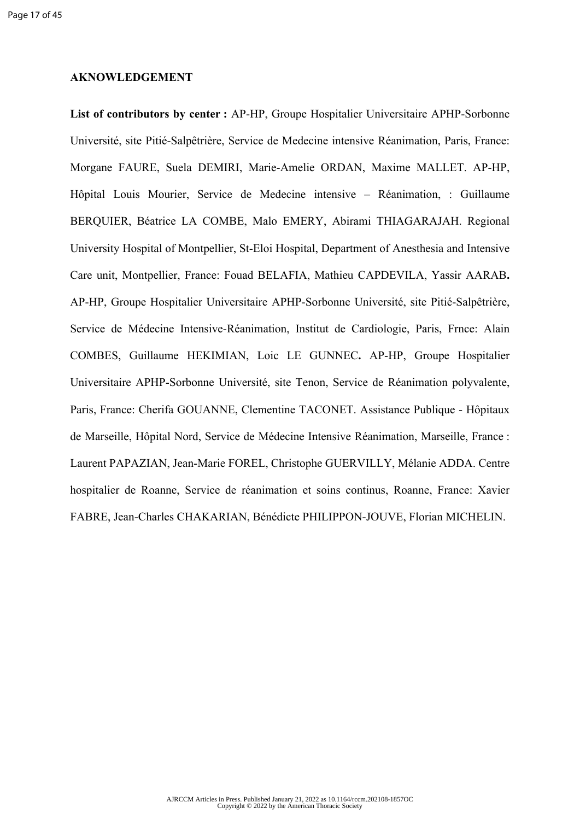#### **AKNOWLEDGEMENT**

List of contributors by center : AP-HP, Groupe Hospitalier Universitaire APHP-Sorbonne Université, site Pitié-Salpêtrière, Service de Medecine intensive Réanimation, Paris, France: Morgane FAURE, Suela DEMIRI, Marie-Amelie ORDAN, Maxime MALLET. AP-HP, Hôpital Louis Mourier, Service de Medecine intensive – Réanimation, : Guillaume BERQUIER, Béatrice LA COMBE, Malo EMERY, Abirami THIAGARAJAH. Regional University Hospital of Montpellier, St-Eloi Hospital, Department of Anesthesia and Intensive Care unit, Montpellier, France: Fouad BELAFIA, Mathieu CAPDEVILA, Yassir AARAB**.**  AP-HP, Groupe Hospitalier Universitaire APHP-Sorbonne Université, site Pitié-Salpêtrière, Service de Médecine Intensive-Réanimation, Institut de Cardiologie, Paris, Frnce: Alain COMBES, Guillaume HEKIMIAN, Loic LE GUNNEC**.** AP-HP, Groupe Hospitalier Universitaire APHP-Sorbonne Université, site Tenon, Service de Réanimation polyvalente, Paris, France: Cherifa GOUANNE, Clementine TACONET. Assistance Publique - Hôpitaux de Marseille, Hôpital Nord, Service de Médecine Intensive Réanimation, Marseille, France : Laurent PAPAZIAN, Jean-Marie FOREL, Christophe GUERVILLY, Mélanie ADDA. Centre hospitalier de Roanne, Service de réanimation et soins continus, Roanne, France: Xavier FABRE, Jean-Charles CHAKARIAN, Bénédicte PHILIPPON-JOUVE, Florian MICHELIN.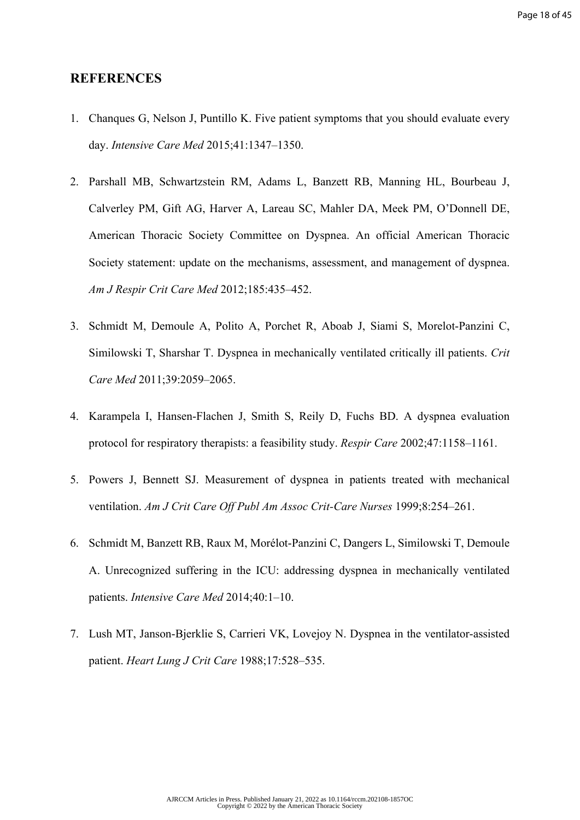#### **REFERENCES**

- 1. Chanques G, Nelson J, Puntillo K. Five patient symptoms that you should evaluate every day. *Intensive Care Med* 2015;41:1347–1350.
- 2. Parshall MB, Schwartzstein RM, Adams L, Banzett RB, Manning HL, Bourbeau J, Calverley PM, Gift AG, Harver A, Lareau SC, Mahler DA, Meek PM, O'Donnell DE, American Thoracic Society Committee on Dyspnea. An official American Thoracic Society statement: update on the mechanisms, assessment, and management of dyspnea. *Am J Respir Crit Care Med* 2012;185:435–452.
- 3. Schmidt M, Demoule A, Polito A, Porchet R, Aboab J, Siami S, Morelot-Panzini C, Similowski T, Sharshar T. Dyspnea in mechanically ventilated critically ill patients. *Crit Care Med* 2011;39:2059–2065.
- 4. Karampela I, Hansen-Flachen J, Smith S, Reily D, Fuchs BD. A dyspnea evaluation protocol for respiratory therapists: a feasibility study. *Respir Care* 2002;47:1158–1161.
- 5. Powers J, Bennett SJ. Measurement of dyspnea in patients treated with mechanical ventilation. *Am J Crit Care Off Publ Am Assoc Crit-Care Nurses* 1999;8:254–261.
- 6. Schmidt M, Banzett RB, Raux M, Morélot-Panzini C, Dangers L, Similowski T, Demoule A. Unrecognized suffering in the ICU: addressing dyspnea in mechanically ventilated patients. *Intensive Care Med* 2014;40:1–10.
- 7. Lush MT, Janson-Bjerklie S, Carrieri VK, Lovejoy N. Dyspnea in the ventilator-assisted patient. *Heart Lung J Crit Care* 1988;17:528–535.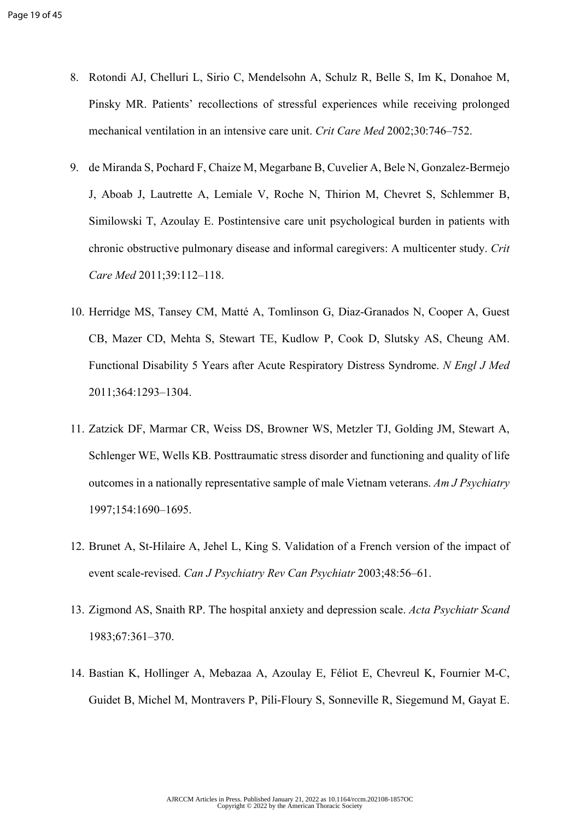- 8. Rotondi AJ, Chelluri L, Sirio C, Mendelsohn A, Schulz R, Belle S, Im K, Donahoe M, Pinsky MR. Patients' recollections of stressful experiences while receiving prolonged mechanical ventilation in an intensive care unit. *Crit Care Med* 2002;30:746–752.
- 9. de Miranda S, Pochard F, Chaize M, Megarbane B, Cuvelier A, Bele N, Gonzalez-Bermejo J, Aboab J, Lautrette A, Lemiale V, Roche N, Thirion M, Chevret S, Schlemmer B, Similowski T, Azoulay E. Postintensive care unit psychological burden in patients with chronic obstructive pulmonary disease and informal caregivers: A multicenter study. *Crit Care Med* 2011;39:112–118.
- 10. Herridge MS, Tansey CM, Matté A, Tomlinson G, Diaz-Granados N, Cooper A, Guest CB, Mazer CD, Mehta S, Stewart TE, Kudlow P, Cook D, Slutsky AS, Cheung AM. Functional Disability 5 Years after Acute Respiratory Distress Syndrome. *N Engl J Med* 2011;364:1293–1304.
- 11. Zatzick DF, Marmar CR, Weiss DS, Browner WS, Metzler TJ, Golding JM, Stewart A, Schlenger WE, Wells KB. Posttraumatic stress disorder and functioning and quality of life outcomes in a nationally representative sample of male Vietnam veterans. *Am J Psychiatry* 1997;154:1690–1695.
- 12. Brunet A, St-Hilaire A, Jehel L, King S. Validation of a French version of the impact of event scale-revised. *Can J Psychiatry Rev Can Psychiatr* 2003;48:56–61.
- 13. Zigmond AS, Snaith RP. The hospital anxiety and depression scale. *Acta Psychiatr Scand* 1983;67:361–370.
- 14. Bastian K, Hollinger A, Mebazaa A, Azoulay E, Féliot E, Chevreul K, Fournier M-C, Guidet B, Michel M, Montravers P, Pili-Floury S, Sonneville R, Siegemund M, Gayat E.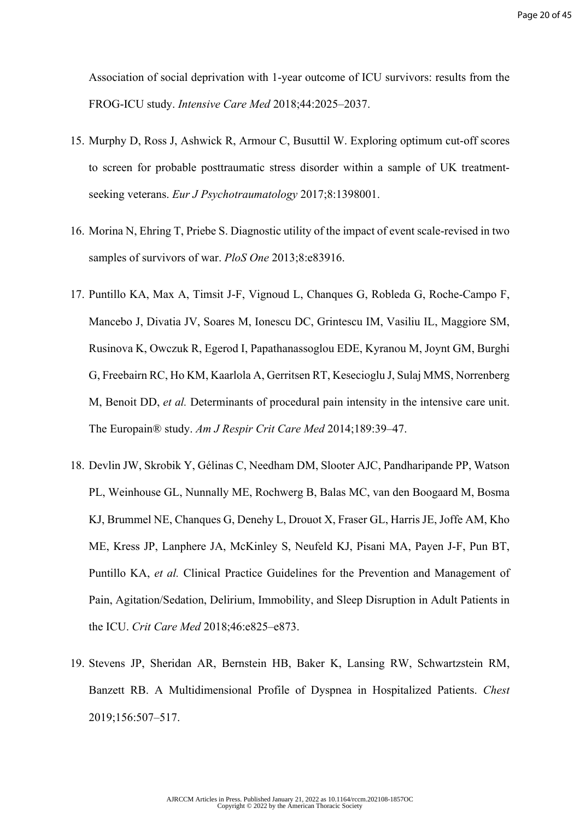Association of social deprivation with 1-year outcome of ICU survivors: results from the FROG-ICU study. *Intensive Care Med* 2018;44:2025–2037.

- 15. Murphy D, Ross J, Ashwick R, Armour C, Busuttil W. Exploring optimum cut-off scores to screen for probable posttraumatic stress disorder within a sample of UK treatmentseeking veterans. *Eur J Psychotraumatology* 2017;8:1398001.
- 16. Morina N, Ehring T, Priebe S. Diagnostic utility of the impact of event scale-revised in two samples of survivors of war. *PloS One* 2013;8:e83916.
- 17. Puntillo KA, Max A, Timsit J-F, Vignoud L, Chanques G, Robleda G, Roche-Campo F, Mancebo J, Divatia JV, Soares M, Ionescu DC, Grintescu IM, Vasiliu IL, Maggiore SM, Rusinova K, Owczuk R, Egerod I, Papathanassoglou EDE, Kyranou M, Joynt GM, Burghi G, Freebairn RC, Ho KM, Kaarlola A, Gerritsen RT, Kesecioglu J, Sulaj MMS, Norrenberg M, Benoit DD, *et al.* Determinants of procedural pain intensity in the intensive care unit. The Europain® study. *Am J Respir Crit Care Med* 2014;189:39–47.
- 18. Devlin JW, Skrobik Y, Gélinas C, Needham DM, Slooter AJC, Pandharipande PP, Watson PL, Weinhouse GL, Nunnally ME, Rochwerg B, Balas MC, van den Boogaard M, Bosma KJ, Brummel NE, Chanques G, Denehy L, Drouot X, Fraser GL, Harris JE, Joffe AM, Kho ME, Kress JP, Lanphere JA, McKinley S, Neufeld KJ, Pisani MA, Payen J-F, Pun BT, Puntillo KA, *et al.* Clinical Practice Guidelines for the Prevention and Management of Pain, Agitation/Sedation, Delirium, Immobility, and Sleep Disruption in Adult Patients in the ICU. *Crit Care Med* 2018;46:e825–e873.
- 19. Stevens JP, Sheridan AR, Bernstein HB, Baker K, Lansing RW, Schwartzstein RM, Banzett RB. A Multidimensional Profile of Dyspnea in Hospitalized Patients. *Chest* 2019;156:507–517.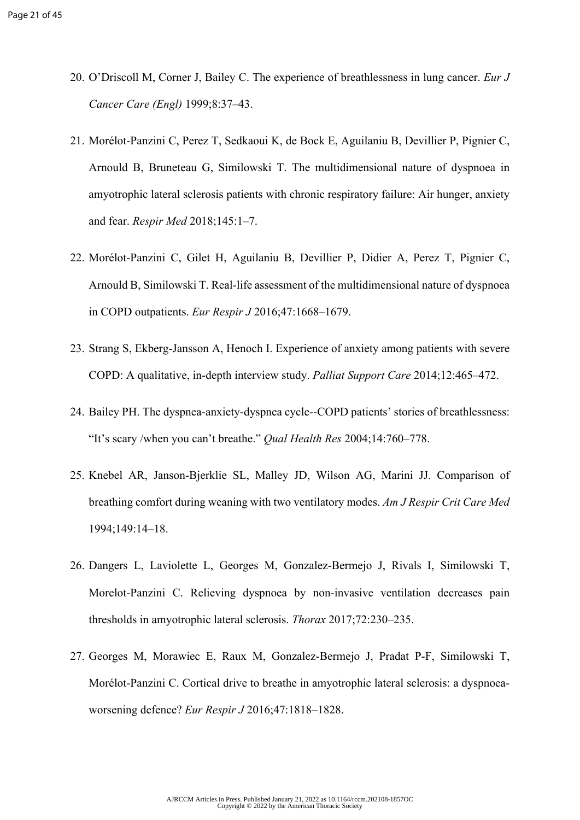- 20. O'Driscoll M, Corner J, Bailey C. The experience of breathlessness in lung cancer. *Eur J Cancer Care (Engl)* 1999;8:37–43.
- 21. Morélot-Panzini C, Perez T, Sedkaoui K, de Bock E, Aguilaniu B, Devillier P, Pignier C, Arnould B, Bruneteau G, Similowski T. The multidimensional nature of dyspnoea in amyotrophic lateral sclerosis patients with chronic respiratory failure: Air hunger, anxiety and fear. *Respir Med* 2018;145:1–7.
- 22. Morélot-Panzini C, Gilet H, Aguilaniu B, Devillier P, Didier A, Perez T, Pignier C, Arnould B, Similowski T. Real-life assessment of the multidimensional nature of dyspnoea in COPD outpatients. *Eur Respir J* 2016;47:1668–1679.
- 23. Strang S, Ekberg-Jansson A, Henoch I. Experience of anxiety among patients with severe COPD: A qualitative, in-depth interview study. *Palliat Support Care* 2014;12:465–472.
- 24. Bailey PH. The dyspnea-anxiety-dyspnea cycle--COPD patients' stories of breathlessness: "It's scary /when you can't breathe." *Qual Health Res* 2004;14:760–778.
- 25. Knebel AR, Janson-Bjerklie SL, Malley JD, Wilson AG, Marini JJ. Comparison of breathing comfort during weaning with two ventilatory modes. *Am J Respir Crit Care Med* 1994;149:14–18.
- 26. Dangers L, Laviolette L, Georges M, Gonzalez-Bermejo J, Rivals I, Similowski T, Morelot-Panzini C. Relieving dyspnoea by non-invasive ventilation decreases pain thresholds in amyotrophic lateral sclerosis. *Thorax* 2017;72:230–235.
- 27. Georges M, Morawiec E, Raux M, Gonzalez-Bermejo J, Pradat P-F, Similowski T, Morélot-Panzini C. Cortical drive to breathe in amyotrophic lateral sclerosis: a dyspnoeaworsening defence? *Eur Respir J* 2016;47:1818–1828.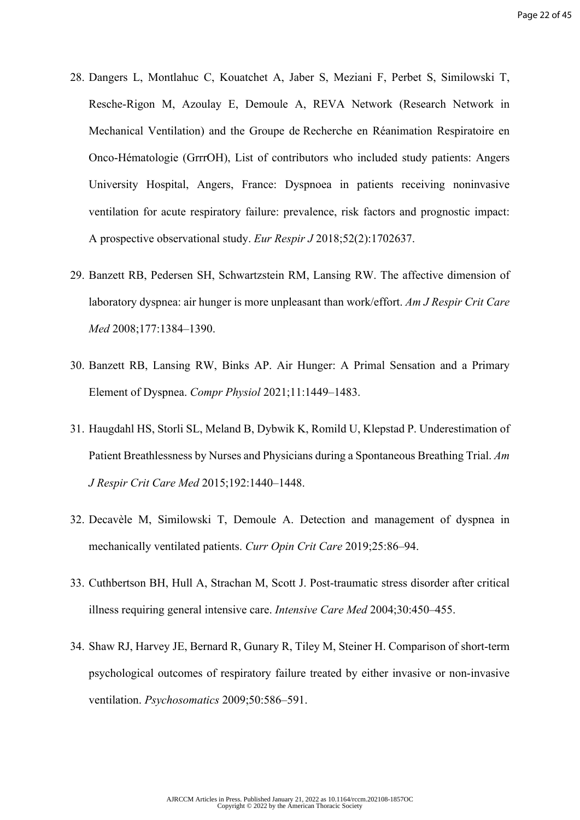- 28. Dangers L, Montlahuc C, Kouatchet A, Jaber S, Meziani F, Perbet S, Similowski T, Resche-Rigon M, Azoulay E, Demoule A, REVA Network (Research Network in Mechanical Ventilation) and the Groupe de Recherche en Réanimation Respiratoire en Onco-Hématologie (GrrrOH), List of contributors who included study patients: Angers University Hospital, Angers, France: Dyspnoea in patients receiving noninvasive ventilation for acute respiratory failure: prevalence, risk factors and prognostic impact: A prospective observational study. *Eur Respir J* 2018;52(2):1702637.
- 29. Banzett RB, Pedersen SH, Schwartzstein RM, Lansing RW. The affective dimension of laboratory dyspnea: air hunger is more unpleasant than work/effort. *Am J Respir Crit Care Med* 2008;177:1384–1390.
- 30. Banzett RB, Lansing RW, Binks AP. Air Hunger: A Primal Sensation and a Primary Element of Dyspnea. *Compr Physiol* 2021;11:1449–1483.
- 31. Haugdahl HS, Storli SL, Meland B, Dybwik K, Romild U, Klepstad P. Underestimation of Patient Breathlessness by Nurses and Physicians during a Spontaneous Breathing Trial. *Am J Respir Crit Care Med* 2015;192:1440–1448.
- 32. Decavèle M, Similowski T, Demoule A. Detection and management of dyspnea in mechanically ventilated patients. *Curr Opin Crit Care* 2019;25:86–94.
- 33. Cuthbertson BH, Hull A, Strachan M, Scott J. Post-traumatic stress disorder after critical illness requiring general intensive care. *Intensive Care Med* 2004;30:450–455.
- 34. Shaw RJ, Harvey JE, Bernard R, Gunary R, Tiley M, Steiner H. Comparison of short-term psychological outcomes of respiratory failure treated by either invasive or non-invasive ventilation. *Psychosomatics* 2009;50:586–591.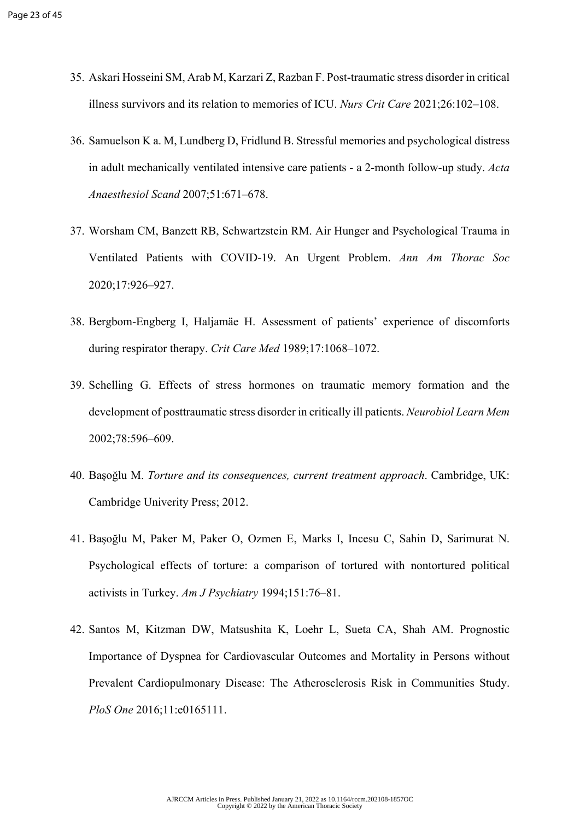- 35. Askari Hosseini SM, Arab M, Karzari Z, Razban F. Post-traumatic stress disorder in critical illness survivors and its relation to memories of ICU. *Nurs Crit Care* 2021;26:102–108.
- 36. Samuelson K a. M, Lundberg D, Fridlund B. Stressful memories and psychological distress in adult mechanically ventilated intensive care patients - a 2-month follow-up study. *Acta Anaesthesiol Scand* 2007;51:671–678.
- 37. Worsham CM, Banzett RB, Schwartzstein RM. Air Hunger and Psychological Trauma in Ventilated Patients with COVID-19. An Urgent Problem. *Ann Am Thorac Soc* 2020;17:926–927.
- 38. Bergbom-Engberg I, Haljamäe H. Assessment of patients' experience of discomforts during respirator therapy. *Crit Care Med* 1989;17:1068–1072.
- 39. Schelling G. Effects of stress hormones on traumatic memory formation and the development of posttraumatic stress disorder in critically ill patients. *Neurobiol Learn Mem* 2002;78:596–609.
- 40. Başoğlu M. *Torture and its consequences, current treatment approach*. Cambridge, UK: Cambridge Univerity Press; 2012.
- 41. Başoğlu M, Paker M, Paker O, Ozmen E, Marks I, Incesu C, Sahin D, Sarimurat N. Psychological effects of torture: a comparison of tortured with nontortured political activists in Turkey. *Am J Psychiatry* 1994;151:76–81.
- 42. Santos M, Kitzman DW, Matsushita K, Loehr L, Sueta CA, Shah AM. Prognostic Importance of Dyspnea for Cardiovascular Outcomes and Mortality in Persons without Prevalent Cardiopulmonary Disease: The Atherosclerosis Risk in Communities Study. *PloS One* 2016;11:e0165111.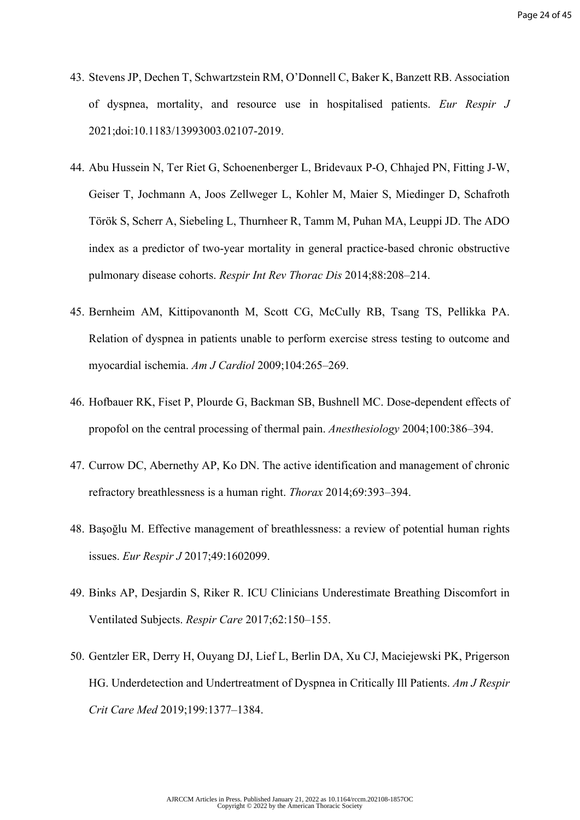- 43. Stevens JP, Dechen T, Schwartzstein RM, O'Donnell C, Baker K, Banzett RB. Association of dyspnea, mortality, and resource use in hospitalised patients. *Eur Respir J* 2021;doi:10.1183/13993003.02107-2019.
- 44. Abu Hussein N, Ter Riet G, Schoenenberger L, Bridevaux P-O, Chhajed PN, Fitting J-W, Geiser T, Jochmann A, Joos Zellweger L, Kohler M, Maier S, Miedinger D, Schafroth Török S, Scherr A, Siebeling L, Thurnheer R, Tamm M, Puhan MA, Leuppi JD. The ADO index as a predictor of two-year mortality in general practice-based chronic obstructive pulmonary disease cohorts. *Respir Int Rev Thorac Dis* 2014;88:208–214.
- 45. Bernheim AM, Kittipovanonth M, Scott CG, McCully RB, Tsang TS, Pellikka PA. Relation of dyspnea in patients unable to perform exercise stress testing to outcome and myocardial ischemia. *Am J Cardiol* 2009;104:265–269.
- 46. Hofbauer RK, Fiset P, Plourde G, Backman SB, Bushnell MC. Dose-dependent effects of propofol on the central processing of thermal pain. *Anesthesiology* 2004;100:386–394.
- 47. Currow DC, Abernethy AP, Ko DN. The active identification and management of chronic refractory breathlessness is a human right. *Thorax* 2014;69:393–394.
- 48. Başoğlu M. Effective management of breathlessness: a review of potential human rights issues. *Eur Respir J* 2017;49:1602099.
- 49. Binks AP, Desjardin S, Riker R. ICU Clinicians Underestimate Breathing Discomfort in Ventilated Subjects. *Respir Care* 2017;62:150–155.
- 50. Gentzler ER, Derry H, Ouyang DJ, Lief L, Berlin DA, Xu CJ, Maciejewski PK, Prigerson HG. Underdetection and Undertreatment of Dyspnea in Critically Ill Patients. *Am J Respir Crit Care Med* 2019;199:1377–1384.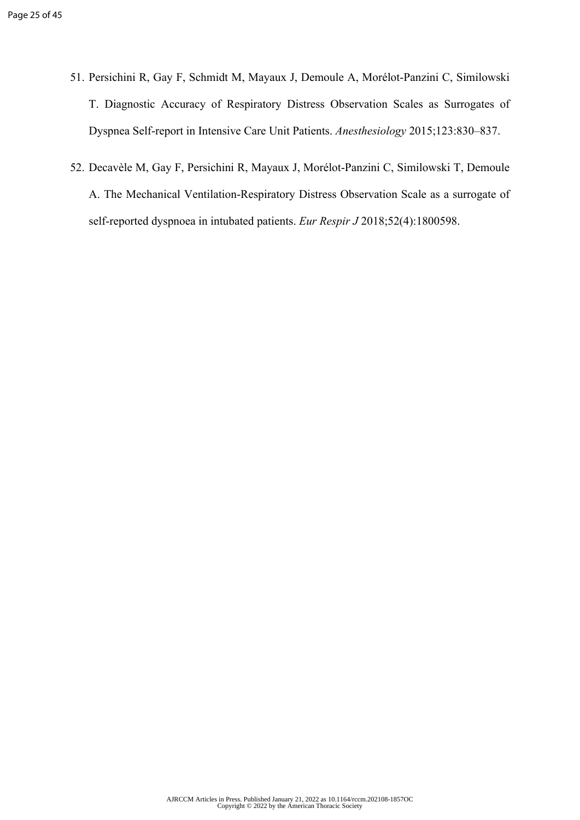- 51. Persichini R, Gay F, Schmidt M, Mayaux J, Demoule A, Morélot-Panzini C, Similowski T. Diagnostic Accuracy of Respiratory Distress Observation Scales as Surrogates of Dyspnea Self-report in Intensive Care Unit Patients. *Anesthesiology* 2015;123:830–837.
- 52. Decavèle M, Gay F, Persichini R, Mayaux J, Morélot-Panzini C, Similowski T, Demoule A. The Mechanical Ventilation-Respiratory Distress Observation Scale as a surrogate of self-reported dyspnoea in intubated patients. *Eur Respir J* 2018;52(4):1800598.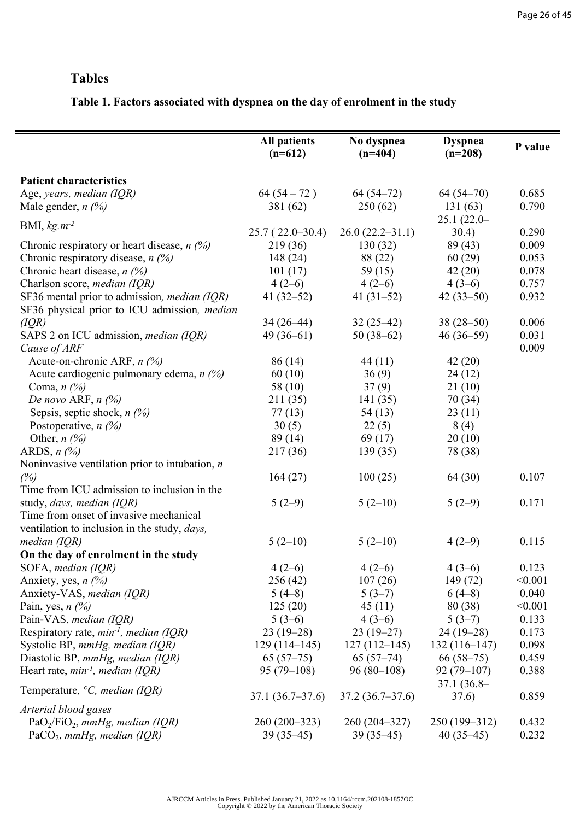#### **Tables**

#### **Table 1. Factors associated with dyspnea on the day of enrolment in the study**

|                                                                                 | <b>All patients</b> | No dyspnea          | <b>Dyspnea</b>          | P value |
|---------------------------------------------------------------------------------|---------------------|---------------------|-------------------------|---------|
|                                                                                 | $(n=612)$           | $(n=404)$           | $(n=208)$               |         |
|                                                                                 |                     |                     |                         |         |
| <b>Patient characteristics</b>                                                  | $64(54-72)$         | $64(54-72)$         | $64(54-70)$             | 0.685   |
| Age, years, median (IQR)                                                        |                     |                     |                         | 0.790   |
| Male gender, $n \frac{1}{2}$                                                    | 381 (62)            | 250(62)             | 131(63)<br>$25.1(22.0-$ |         |
| BMI, $kg.m^{-2}$                                                                | $25.7(22.0-30.4)$   | $26.0(22.2 - 31.1)$ | 30.4)                   | 0.290   |
| Chronic respiratory or heart disease, $n$ (%)                                   | 219 (36)            | 130(32)             | 89(43)                  | 0.009   |
| Chronic respiratory disease, $n$ (%)                                            | 148(24)             | 88 (22)             | 60(29)                  | 0.053   |
| Chronic heart disease, $n$ (%)                                                  | 101(17)             | 59 $(15)$           | 42(20)                  | 0.078   |
|                                                                                 | $4(2-6)$            |                     | $4(3-6)$                | 0.757   |
| Charlson score, <i>median</i> (IQR)                                             |                     | $4(2-6)$            |                         | 0.932   |
| SF36 mental prior to admission, <i>median</i> (IQR)                             | 41 $(32-52)$        | 41 $(31-52)$        | $42(33-50)$             |         |
| SF36 physical prior to ICU admission, median                                    |                     |                     | $38(28-50)$             |         |
| (IQR)                                                                           | $34(26-44)$         | $32(25-42)$         |                         | 0.006   |
| SAPS 2 on ICU admission, median (IQR)                                           | $49(36-61)$         | $50(38-62)$         | $46(36-59)$             | 0.031   |
| Cause of ARF                                                                    |                     |                     |                         | 0.009   |
| Acute-on-chronic ARF, $n$ (%)<br>Acute cardiogenic pulmonary edema, $n \sim 26$ | 86 (14)             | 44(11)              | 42(20)                  |         |
|                                                                                 | 60(10)              | 36(9)               | 24(12)                  |         |
| Coma, $n$ (%)                                                                   | 58 (10)             | 37(9)               | 21(10)                  |         |
| De novo ARF, $n$ (%)                                                            | 211 (35)            | 141(35)             | 70(34)                  |         |
| Sepsis, septic shock, $n$ (%)                                                   | 77(13)              | 54(13)              | 23(11)                  |         |
| Postoperative, $n$ (%)                                                          | 30(5)               | 22(5)               | 8(4)                    |         |
| Other, $n$ (%)                                                                  | 89(14)              | 69(17)              | 20(10)                  |         |
| ARDS, $n$ $\left(\frac{\%}{\%}\right)$                                          | 217 (36)            | 139(35)             | 78 (38)                 |         |
| Noninvasive ventilation prior to intubation, $n$                                |                     |                     |                         |         |
| (%)                                                                             | 164(27)             | 100(25)             | 64 (30)                 | 0.107   |
| Time from ICU admission to inclusion in the                                     |                     |                     |                         |         |
| study, days, median (IQR)                                                       | $5(2-9)$            | $5(2-10)$           | $5(2-9)$                | 0.171   |
| Time from onset of invasive mechanical                                          |                     |                     |                         |         |
| ventilation to inclusion in the study, <i>days</i> ,                            |                     |                     |                         |         |
| median $(IQR)$                                                                  | $5(2-10)$           | $5(2-10)$           | $4(2-9)$                | 0.115   |
| On the day of enrolment in the study                                            |                     |                     |                         |         |
| SOFA, median (IQR)                                                              | $4(2-6)$            | $4(2-6)$            | $4(3-6)$                | 0.123   |
| Anxiety, yes, $n$ (%)                                                           | 256(42)             | 107(26)             | 149(72)                 | < 0.001 |
| Anxiety-VAS, median (IQR)                                                       | $5(4-8)$            | $5(3-7)$            | $6(4-8)$                | 0.040   |
| Pain, yes, $n$ (%)                                                              | 125(20)             | 45(11)              | 80 (38)                 | < 0.001 |
| Pain-VAS, median (IQR)                                                          | $5(3-6)$            | $4(3-6)$            | $5(3-7)$                | 0.133   |
| Respiratory rate, $min^{-1}$ , median (IQR)                                     | $23(19-28)$         | $23(19-27)$         | $24(19-28)$             | 0.173   |
| Systolic BP, mmHg, median (IQR)                                                 | $129(114-145)$      | $127(112-145)$      | $132(116-147)$          | 0.098   |
| Diastolic BP, mmHg, median (IQR)                                                | $65(57-75)$         | $65(57-74)$         | $66(58-75)$             | 0.459   |
| Heart rate, $min^{-1}$ , median (IQR)                                           | $95(79-108)$        | $96(80-108)$        | $92(79-107)$            | 0.388   |
| Temperature, $\degree C$ , <i>median</i> (IQR)                                  |                     |                     | $37.1(36.8-$            |         |
|                                                                                 | $37.1(36.7-37.6)$   | $37.2(36.7-37.6)$   | 37.6)                   | 0.859   |
| Arterial blood gases                                                            |                     |                     |                         |         |
| $PaO2/FiO2$ , mmHg, median (IQR)                                                | $260(200-323)$      | $260(204-327)$      | $250(199-312)$          | 0.432   |
| PaCO <sub>2</sub> , mmHg, median (IQR)                                          | $39(35-45)$         | $39(35-45)$         | $40(35-45)$             | 0.232   |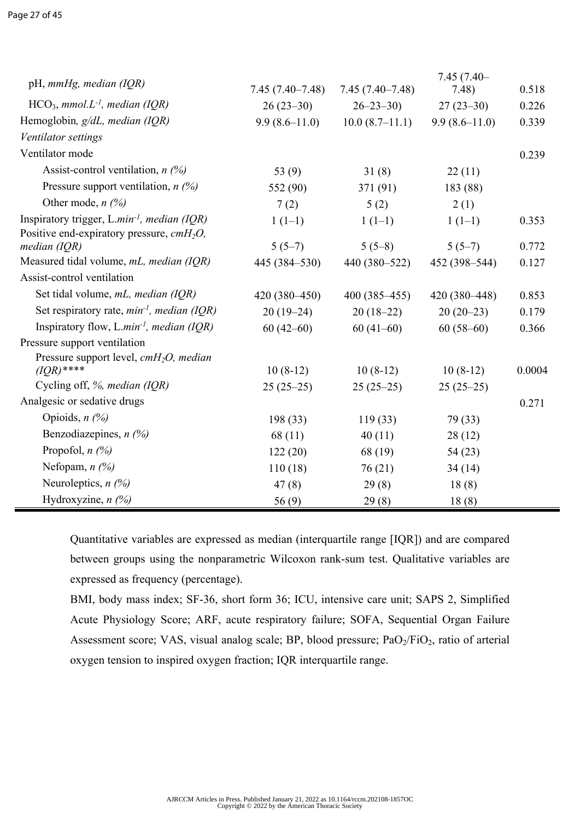| pH, mmHg, median (IQR)                                                                                           |                   |                     | $7.45(7.40-$      |        |
|------------------------------------------------------------------------------------------------------------------|-------------------|---------------------|-------------------|--------|
|                                                                                                                  | $7.45(7.40-7.48)$ | $7.45(7.40 - 7.48)$ | 7.48)             | 0.518  |
| $HCO3$ , mmol.L <sup>-1</sup> , median (IQR)                                                                     | $26(23-30)$       | $26 - 23 - 30$      | $27(23-30)$       | 0.226  |
| Hemoglobin, g/dL, median (IQR)                                                                                   | $9.9(8.6-11.0)$   | $10.0(8.7-11.1)$    | $9.9(8.6 - 11.0)$ | 0.339  |
| Ventilator settings                                                                                              |                   |                     |                   |        |
| Ventilator mode                                                                                                  |                   |                     |                   | 0.239  |
| Assist-control ventilation, $n$ (%)                                                                              | 53 $(9)$          | 31(8)               | 22(11)            |        |
| Pressure support ventilation, $n$ (%)                                                                            | 552 (90)          | 371 (91)            | 183 (88)          |        |
| Other mode, $n$ (%)                                                                                              | 7(2)              | 5(2)                | 2(1)              |        |
| Inspiratory trigger, L.min <sup>-1</sup> , median (IQR)<br>Positive end-expiratory pressure, cmH <sub>2</sub> O, | $1(1-1)$          | $1(1-1)$            | $1(1-1)$          | 0.353  |
| median $(IQR)$                                                                                                   | $5(5-7)$          | $5(5-8)$            | $5(5-7)$          | 0.772  |
| Measured tidal volume, mL, median (IQR)                                                                          | 445 (384-530)     | 440 (380-522)       | 452 (398-544)     | 0.127  |
| Assist-control ventilation                                                                                       |                   |                     |                   |        |
| Set tidal volume, mL, median (IQR)                                                                               | $420(380-450)$    | $400(385-455)$      | 420 (380-448)     | 0.853  |
| Set respiratory rate, $min^{-1}$ , median (IQR)                                                                  | $20(19-24)$       | $20(18-22)$         | $20(20-23)$       | 0.179  |
| Inspiratory flow, L.min <sup>-1</sup> , median (IQR)                                                             | $60(42-60)$       | $60(41-60)$         | $60(58-60)$       | 0.366  |
| Pressure support ventilation                                                                                     |                   |                     |                   |        |
| Pressure support level, $cmH_2O$ , median                                                                        |                   |                     |                   |        |
| $(IQR)$ ****                                                                                                     | $10(8-12)$        | $10(8-12)$          | $10(8-12)$        | 0.0004 |
| Cycling off, %, median (IQR)                                                                                     | $25(25-25)$       | $25(25-25)$         | $25(25-25)$       |        |
| Analgesic or sedative drugs                                                                                      |                   |                     |                   | 0.271  |
| Opioids, $n$ (%)                                                                                                 | 198(33)           | 119(33)             | 79 (33)           |        |
| Benzodiazepines, $n$ (%)                                                                                         | 68(11)            | 40(11)              | 28(12)            |        |
| Propofol, $n$ $(\%)$                                                                                             | 122(20)           | 68 (19)             | 54(23)            |        |
| Nefopam, $n$ $\left(\frac{\%}{\%}\right)$                                                                        | 110(18)           | 76(21)              | 34(14)            |        |
| Neuroleptics, $n$ (%)                                                                                            | 47(8)             | 29(8)               | 18(8)             |        |
| Hydroxyzine, $n$ (%)                                                                                             | 56(9)             | 29(8)               | 18(8)             |        |

Quantitative variables are expressed as median (interquartile range [IQR]) and are compared between groups using the nonparametric Wilcoxon rank-sum test. Qualitative variables are expressed as frequency (percentage).

BMI, body mass index; SF-36, short form 36; ICU, intensive care unit; SAPS 2, Simplified Acute Physiology Score; ARF, acute respiratory failure; SOFA, Sequential Organ Failure Assessment score; VAS, visual analog scale; BP, blood pressure;  $PaO<sub>2</sub>/FiO<sub>2</sub>$ , ratio of arterial oxygen tension to inspired oxygen fraction; IQR interquartile range.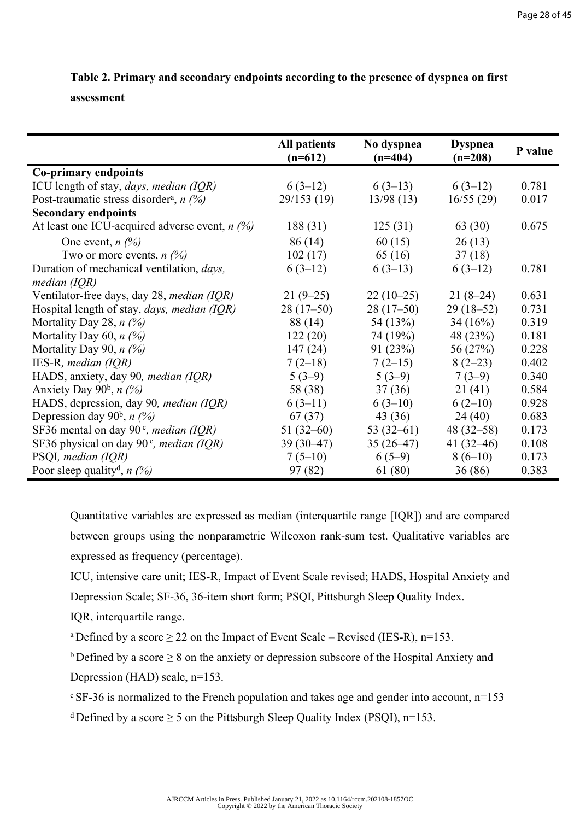#### **Table 2. Primary and secondary endpoints according to the presence of dyspnea on first**

#### **assessment**

|                                                       | <b>All patients</b><br>$(n=612)$ | No dyspnea<br>$(n=404)$ | <b>Dyspnea</b><br>$(n=208)$ | P value |
|-------------------------------------------------------|----------------------------------|-------------------------|-----------------------------|---------|
| <b>Co-primary endpoints</b>                           |                                  |                         |                             |         |
| ICU length of stay, days, median (IQR)                | $6(3-12)$                        | $6(3-13)$               | $6(3-12)$                   | 0.781   |
| Post-traumatic stress disorder <sup>a</sup> , $n$ (%) | 29/153(19)                       | 13/98(13)               | 16/55(29)                   | 0.017   |
| <b>Secondary endpoints</b>                            |                                  |                         |                             |         |
| At least one ICU-acquired adverse event, $n$ (%)      | 188(31)                          | 125(31)                 | 63 (30)                     | 0.675   |
| One event, $n(\%)$                                    | 86(14)                           | 60(15)                  | 26(13)                      |         |
| Two or more events, $n \frac{\omega_0}{\omega}$       | 102(17)                          | 65(16)                  | 37(18)                      |         |
| Duration of mechanical ventilation, <i>days</i> ,     | $6(3-12)$                        | $6(3-13)$               | $6(3-12)$                   | 0.781   |
| median $(IQR)$                                        |                                  |                         |                             |         |
| Ventilator-free days, day 28, <i>median (IQR)</i>     | $21(9-25)$                       | $22(10-25)$             | $21(8-24)$                  | 0.631   |
| Hospital length of stay, days, median (IQR)           | $28(17-50)$                      | $28(17-50)$             | $29(18-52)$                 | 0.731   |
| Mortality Day 28, $n$ (%)                             | 88 (14)                          | 54 (13%)                | 34(16%)                     | 0.319   |
| Mortality Day 60, $n$ (%)                             | 122(20)                          | 74 (19%)                | 48 (23%)                    | 0.181   |
| Mortality Day 90, $n$ (%)                             | 147(24)                          | 91(23%)                 | 56 (27%)                    | 0.228   |
| IES-R, median (IQR)                                   | $7(2-18)$                        | $7(2-15)$               | $8(2-23)$                   | 0.402   |
| HADS, anxiety, day 90, <i>median</i> (IQR)            | $5(3-9)$                         | $5(3-9)$                | $7(3-9)$                    | 0.340   |
| Anxiety Day $90^b$ , <i>n</i> $(%)$                   | 58 (38)                          | 37(36)                  | 21(41)                      | 0.584   |
| HADS, depression, day 90, median (IQR)                | $6(3-11)$                        | $6(3-10)$               | $6(2-10)$                   | 0.928   |
| Depression day 90 <sup>b</sup> , $n$ (%)              | 67(37)                           | 43(36)                  | 24(40)                      | 0.683   |
| SF36 mental on day 90 $\degree$ , <i>median (IQR)</i> | $51(32-60)$                      | $53(32-61)$             | $48(32 - 58)$               | 0.173   |
| SF36 physical on day 90 $\degree$ , median (IQR)      | $39(30-47)$                      | $35(26-47)$             | 41 $(32-46)$                | 0.108   |
| PSQI, median (IQR)                                    | $7(5-10)$                        | $6(5-9)$                | $8(6-10)$                   | 0.173   |
| Poor sleep quality <sup>d</sup> , $n$ (%)             | 97 (82)                          | 61 (80)                 | 36(86)                      | 0.383   |

Quantitative variables are expressed as median (interquartile range [IQR]) and are compared between groups using the nonparametric Wilcoxon rank-sum test. Qualitative variables are expressed as frequency (percentage).

ICU, intensive care unit; IES-R, Impact of Event Scale revised; HADS, Hospital Anxiety and Depression Scale; SF-36, 36-item short form; PSQI, Pittsburgh Sleep Quality Index.

IQR, interquartile range.

<sup>a</sup>Defined by a score  $\geq$  22 on the Impact of Event Scale – Revised (IES-R), n=153.

b Defined by a score  $\geq 8$  on the anxiety or depression subscore of the Hospital Anxiety and Depression (HAD) scale, n=153.

 $\text{c}$  SF-36 is normalized to the French population and takes age and gender into account, n=153

<sup>d</sup> Defined by a score  $\geq 5$  on the Pittsburgh Sleep Quality Index (PSQI), n=153.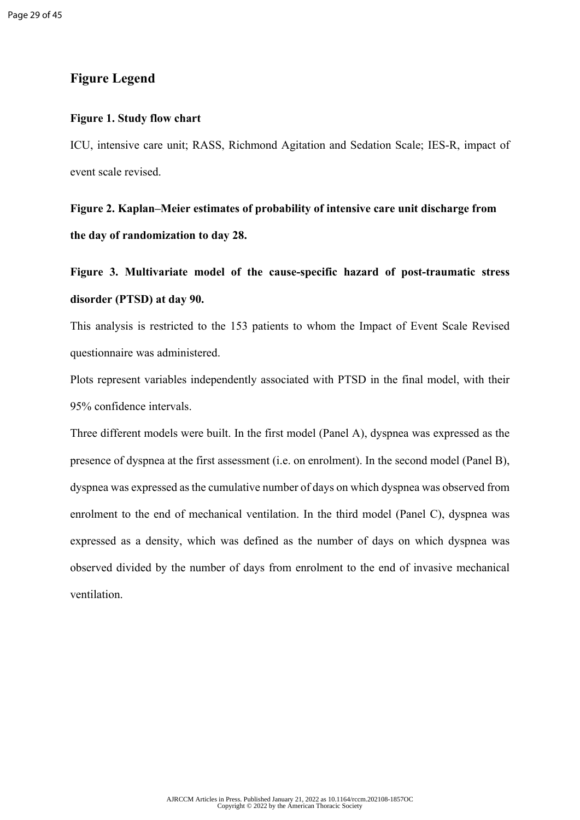#### **Figure Legend**

#### **Figure 1. Study flow chart**

ICU, intensive care unit; RASS, Richmond Agitation and Sedation Scale; IES-R, impact of event scale revised.

**Figure 2. Kaplan–Meier estimates of probability of intensive care unit discharge from the day of randomization to day 28.**

**Figure 3. Multivariate model of the cause-specific hazard of post-traumatic stress disorder (PTSD) at day 90.** 

This analysis is restricted to the 153 patients to whom the Impact of Event Scale Revised questionnaire was administered.

Plots represent variables independently associated with PTSD in the final model, with their 95% confidence intervals.

Three different models were built. In the first model (Panel A), dyspnea was expressed as the presence of dyspnea at the first assessment (i.e. on enrolment). In the second model (Panel B), dyspnea was expressed as the cumulative number of days on which dyspnea was observed from enrolment to the end of mechanical ventilation. In the third model (Panel C), dyspnea was expressed as a density, which was defined as the number of days on which dyspnea was observed divided by the number of days from enrolment to the end of invasive mechanical ventilation.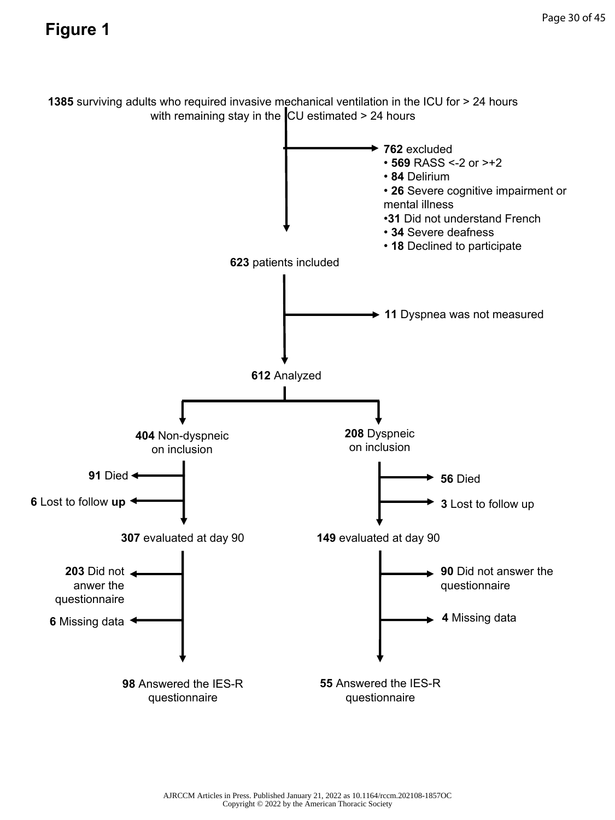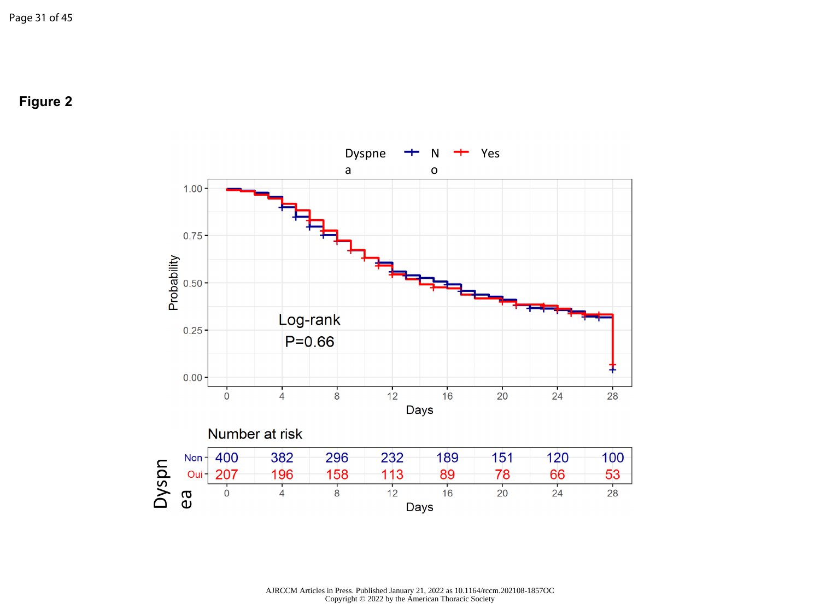**Figure 2**

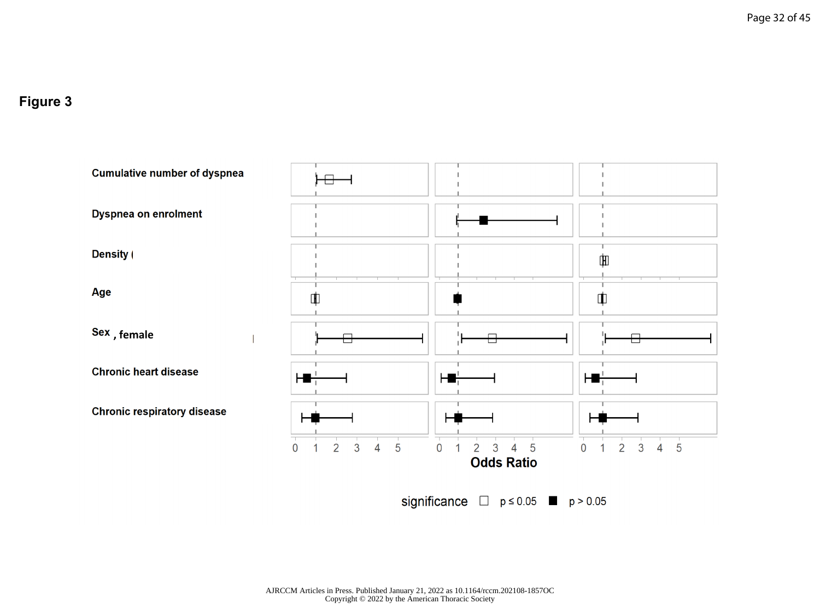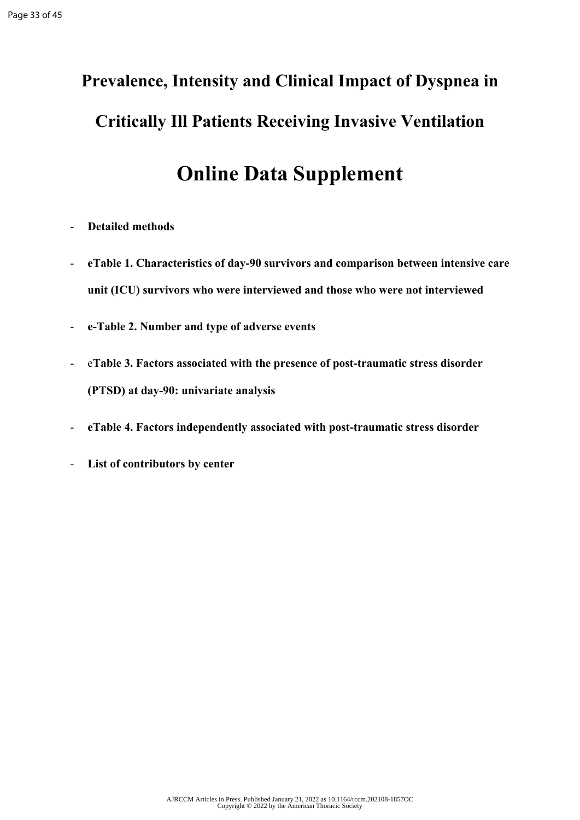# **Prevalence, Intensity and Clinical Impact of Dyspnea in Critically Ill Patients Receiving Invasive Ventilation**

### **Online Data Supplement**

- **Detailed methods**
- **eTable 1. Characteristics of day-90 survivors and comparison between intensive care unit (ICU) survivors who were interviewed and those who were not interviewed**
- **e-Table 2. Number and type of adverse events**
- e**Table 3. Factors associated with the presence of post-traumatic stress disorder (PTSD) at day-90: univariate analysis**
- **eTable 4. Factors independently associated with post-traumatic stress disorder**
- **List of contributors by center**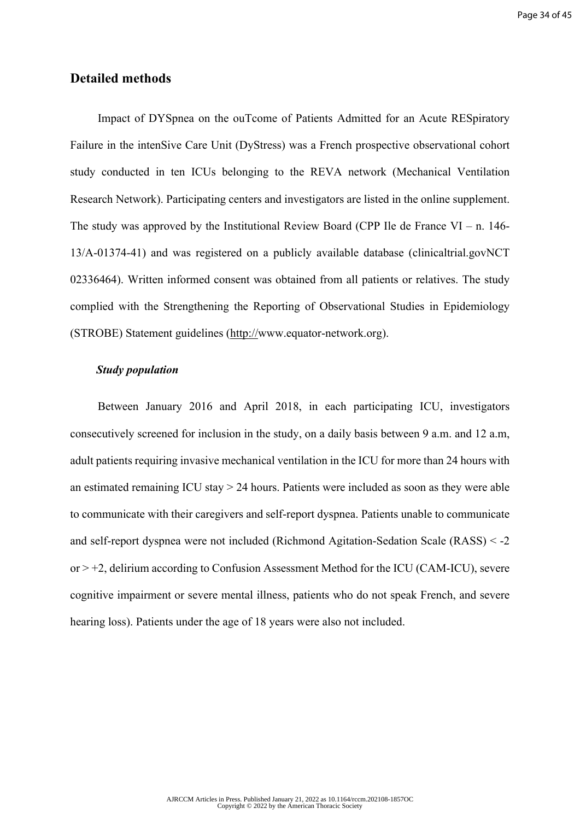#### **Detailed methods**

Impact of DYSpnea on the ouTcome of Patients Admitted for an Acute RESpiratory Failure in the intenSive Care Unit (DyStress) was a French prospective observational cohort study conducted in ten ICUs belonging to the REVA network (Mechanical Ventilation Research Network). Participating centers and investigators are listed in the online supplement. The study was approved by the Institutional Review Board (CPP Ile de France VI – n. 146-13/A-01374-41) and was registered on a publicly available database (clinicaltrial.govNCT 02336464). Written informed consent was obtained from all patients or relatives. The study complied with the Strengthening the Reporting of Observational Studies in Epidemiology (STROBE) Statement guidelines (http://www.equator-network.org).

#### *Study population*

Between January 2016 and April 2018, in each participating ICU, investigators consecutively screened for inclusion in the study, on a daily basis between 9 a.m. and 12 a.m, adult patients requiring invasive mechanical ventilation in the ICU for more than 24 hours with an estimated remaining ICU stay > 24 hours. Patients were included as soon as they were able to communicate with their caregivers and self-report dyspnea. Patients unable to communicate and self-report dyspnea were not included (Richmond Agitation-Sedation Scale (RASS) < -2 or > +2, delirium according to Confusion Assessment Method for the ICU (CAM-ICU), severe cognitive impairment or severe mental illness, patients who do not speak French, and severe hearing loss). Patients under the age of 18 years were also not included.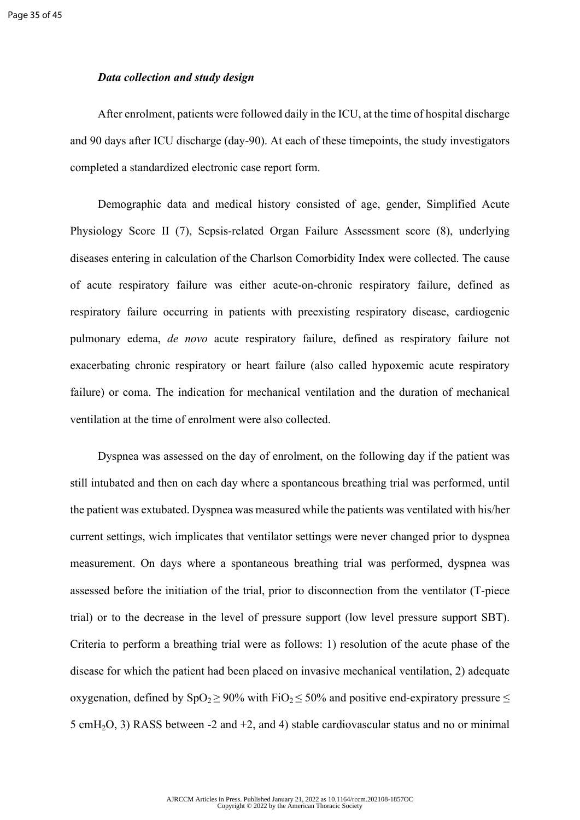#### *Data collection and study design*

After enrolment, patients were followed daily in the ICU, at the time of hospital discharge and 90 days after ICU discharge (day-90). At each of these timepoints, the study investigators completed a standardized electronic case report form.

Demographic data and medical history consisted of age, gender, Simplified Acute Physiology Score II (7), Sepsis-related Organ Failure Assessment score (8), underlying diseases entering in calculation of the Charlson Comorbidity Index were collected. The cause of acute respiratory failure was either acute-on-chronic respiratory failure, defined as respiratory failure occurring in patients with preexisting respiratory disease, cardiogenic pulmonary edema, *de novo* acute respiratory failure, defined as respiratory failure not exacerbating chronic respiratory or heart failure (also called hypoxemic acute respiratory failure) or coma. The indication for mechanical ventilation and the duration of mechanical ventilation at the time of enrolment were also collected.

Dyspnea was assessed on the day of enrolment, on the following day if the patient was still intubated and then on each day where a spontaneous breathing trial was performed, until the patient was extubated. Dyspnea was measured while the patients was ventilated with his/her current settings, wich implicates that ventilator settings were never changed prior to dyspnea measurement. On days where a spontaneous breathing trial was performed, dyspnea was assessed before the initiation of the trial, prior to disconnection from the ventilator (T-piece trial) or to the decrease in the level of pressure support (low level pressure support SBT). Criteria to perform a breathing trial were as follows: 1) resolution of the acute phase of the disease for which the patient had been placed on invasive mechanical ventilation, 2) adequate oxygenation, defined by  $SpO_2 \ge 90\%$  with FiO<sub>2</sub>  $\le 50\%$  and positive end-expiratory pressure  $\le$ 5 cmH<sub>2</sub>O, 3) RASS between -2 and +2, and 4) stable cardiovascular status and no or minimal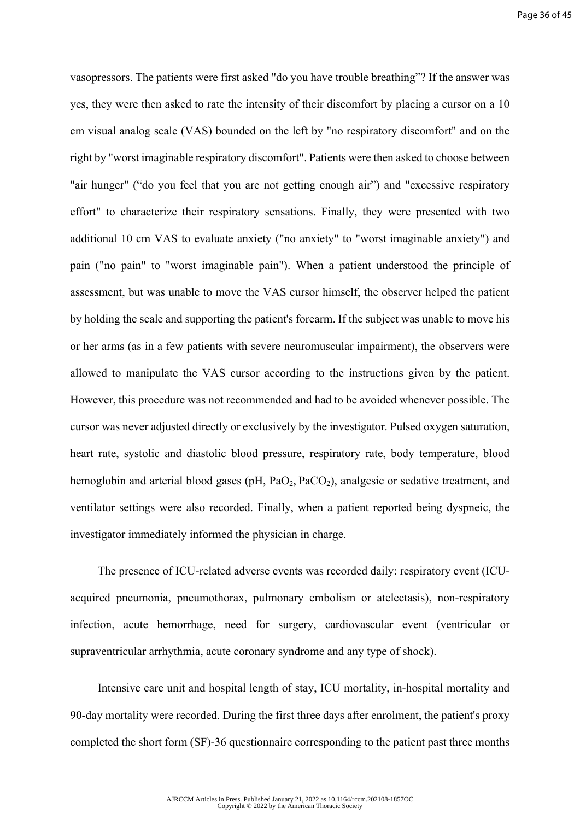vasopressors. The patients were first asked "do you have trouble breathing"? If the answer was yes, they were then asked to rate the intensity of their discomfort by placing a cursor on a 10 cm visual analog scale (VAS) bounded on the left by "no respiratory discomfort" and on the right by "worst imaginable respiratory discomfort". Patients were then asked to choose between "air hunger" ("do you feel that you are not getting enough air") and "excessive respiratory effort" to characterize their respiratory sensations. Finally, they were presented with two additional 10 cm VAS to evaluate anxiety ("no anxiety" to "worst imaginable anxiety") and pain ("no pain" to "worst imaginable pain"). When a patient understood the principle of assessment, but was unable to move the VAS cursor himself, the observer helped the patient by holding the scale and supporting the patient's forearm. If the subject was unable to move his or her arms (as in a few patients with severe neuromuscular impairment), the observers were allowed to manipulate the VAS cursor according to the instructions given by the patient. However, this procedure was not recommended and had to be avoided whenever possible. The cursor was never adjusted directly or exclusively by the investigator. Pulsed oxygen saturation, heart rate, systolic and diastolic blood pressure, respiratory rate, body temperature, blood hemoglobin and arterial blood gases ( $pH$ ,  $PaO<sub>2</sub>$ ,  $PaCO<sub>2</sub>$ ), analgesic or sedative treatment, and ventilator settings were also recorded. Finally, when a patient reported being dyspneic, the investigator immediately informed the physician in charge.

The presence of ICU-related adverse events was recorded daily: respiratory event (ICUacquired pneumonia, pneumothorax, pulmonary embolism or atelectasis), non-respiratory infection, acute hemorrhage, need for surgery, cardiovascular event (ventricular or supraventricular arrhythmia, acute coronary syndrome and any type of shock).

Intensive care unit and hospital length of stay, ICU mortality, in-hospital mortality and 90-day mortality were recorded. During the first three days after enrolment, the patient's proxy completed the short form (SF)-36 questionnaire corresponding to the patient past three months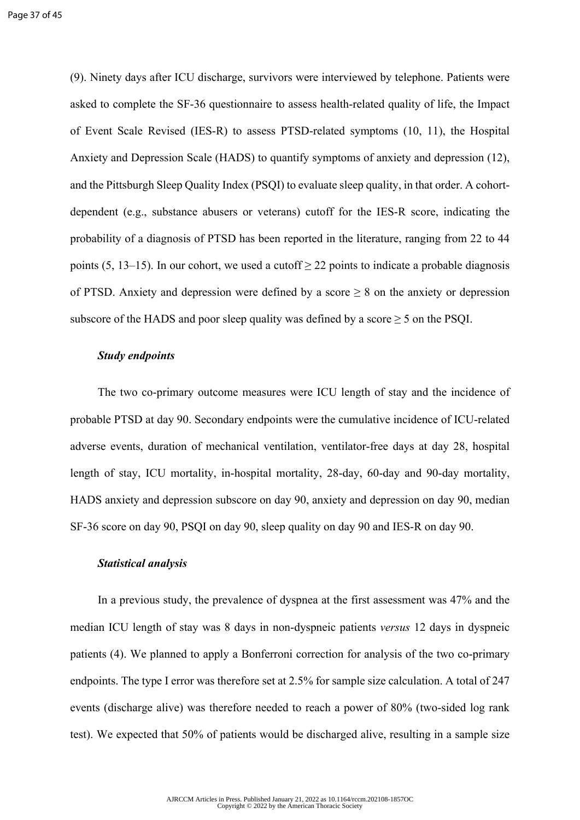(9). Ninety days after ICU discharge, survivors were interviewed by telephone. Patients were asked to complete the SF-36 questionnaire to assess health-related quality of life, the Impact of Event Scale Revised (IES-R) to assess PTSD-related symptoms (10, 11), the Hospital Anxiety and Depression Scale (HADS) to quantify symptoms of anxiety and depression (12), and the Pittsburgh Sleep Quality Index (PSQI) to evaluate sleep quality, in that order. A cohortdependent (e.g., substance abusers or veterans) cutoff for the IES-R score, indicating the probability of a diagnosis of PTSD has been reported in the literature, ranging from 22 to 44 points (5, 13–15). In our cohort, we used a cutoff  $\geq$  22 points to indicate a probable diagnosis of PTSD. Anxiety and depression were defined by a score  $\geq 8$  on the anxiety or depression subscore of the HADS and poor sleep quality was defined by a score  $\geq$  5 on the PSQI.

#### *Study endpoints*

The two co-primary outcome measures were ICU length of stay and the incidence of probable PTSD at day 90. Secondary endpoints were the cumulative incidence of ICU-related adverse events, duration of mechanical ventilation, ventilator-free days at day 28, hospital length of stay, ICU mortality, in-hospital mortality, 28-day, 60-day and 90-day mortality, HADS anxiety and depression subscore on day 90, anxiety and depression on day 90, median SF-36 score on day 90, PSQI on day 90, sleep quality on day 90 and IES-R on day 90.

#### *Statistical analysis*

In a previous study, the prevalence of dyspnea at the first assessment was 47% and the median ICU length of stay was 8 days in non-dyspneic patients *versus* 12 days in dyspneic patients (4). We planned to apply a Bonferroni correction for analysis of the two co-primary endpoints. The type I error was therefore set at 2.5% for sample size calculation. A total of 247 events (discharge alive) was therefore needed to reach a power of 80% (two-sided log rank test). We expected that 50% of patients would be discharged alive, resulting in a sample size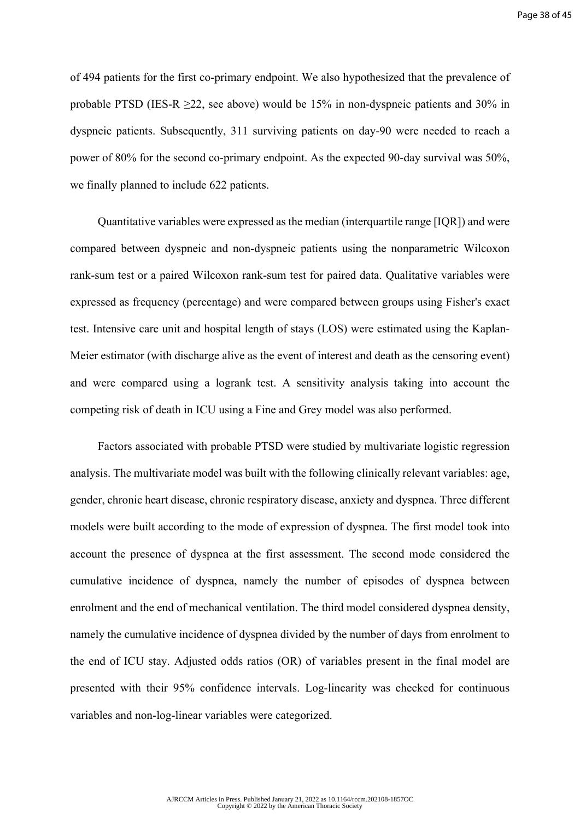of 494 patients for the first co-primary endpoint. We also hypothesized that the prevalence of probable PTSD (IES-R ≥22, see above) would be 15% in non-dyspneic patients and 30% in dyspneic patients. Subsequently, 311 surviving patients on day-90 were needed to reach a power of 80% for the second co-primary endpoint. As the expected 90-day survival was 50%, we finally planned to include 622 patients.

Quantitative variables were expressed as the median (interquartile range [IQR]) and were compared between dyspneic and non-dyspneic patients using the nonparametric Wilcoxon rank-sum test or a paired Wilcoxon rank-sum test for paired data. Qualitative variables were expressed as frequency (percentage) and were compared between groups using Fisher's exact test. Intensive care unit and hospital length of stays (LOS) were estimated using the Kaplan-Meier estimator (with discharge alive as the event of interest and death as the censoring event) and were compared using a logrank test. A sensitivity analysis taking into account the competing risk of death in ICU using a Fine and Grey model was also performed.

Factors associated with probable PTSD were studied by multivariate logistic regression analysis. The multivariate model was built with the following clinically relevant variables: age, gender, chronic heart disease, chronic respiratory disease, anxiety and dyspnea. Three different models were built according to the mode of expression of dyspnea. The first model took into account the presence of dyspnea at the first assessment. The second mode considered the cumulative incidence of dyspnea, namely the number of episodes of dyspnea between enrolment and the end of mechanical ventilation. The third model considered dyspnea density, namely the cumulative incidence of dyspnea divided by the number of days from enrolment to the end of ICU stay. Adjusted odds ratios (OR) of variables present in the final model are presented with their 95% confidence intervals. Log-linearity was checked for continuous variables and non-log-linear variables were categorized.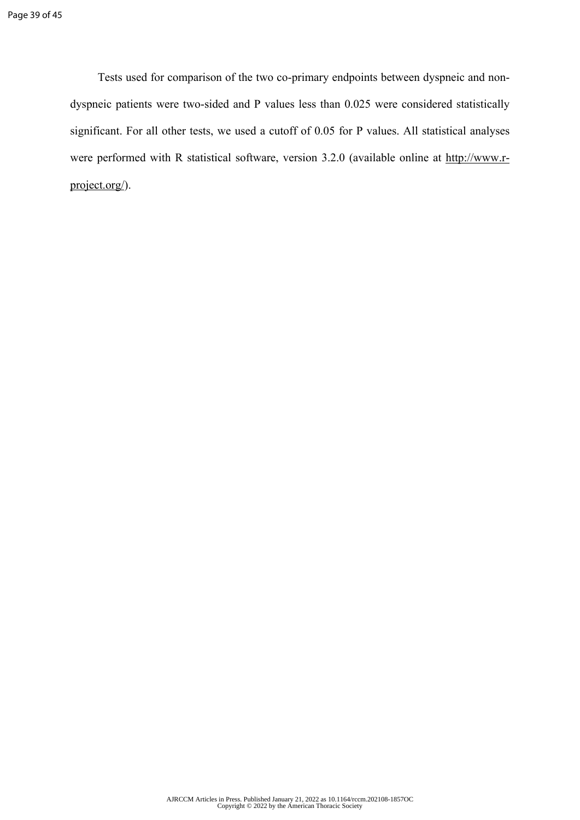Tests used for comparison of the two co-primary endpoints between dyspneic and nondyspneic patients were two-sided and P values less than 0.025 were considered statistically significant. For all other tests, we used a cutoff of 0.05 for P values. All statistical analyses were performed with R statistical software, version 3.2.0 (available online at [http://www.r](http://www.r-project.org/)[project.org/\)](http://www.r-project.org/).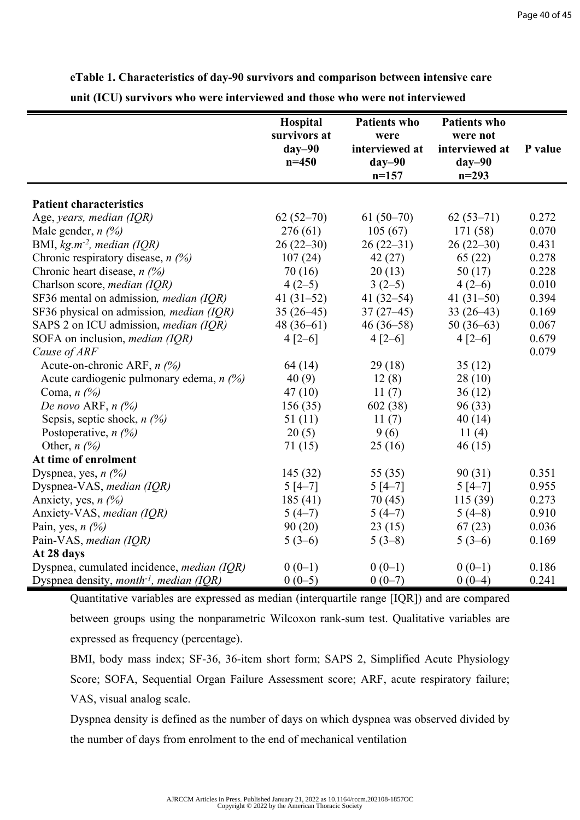**eTable 1. Characteristics of day-90 survivors and comparison between intensive care** 

**unit (ICU) survivors who were interviewed and those who were not interviewed**

|                                                     | Hospital<br>survivors at<br>$day-90$<br>$n = 450$ | <b>Patients who</b><br>were<br>interviewed at<br>$day-90$<br>$n=157$ | <b>Patients who</b><br>were not<br>interviewed at<br>$day-90$<br>$n = 293$ | P value |
|-----------------------------------------------------|---------------------------------------------------|----------------------------------------------------------------------|----------------------------------------------------------------------------|---------|
|                                                     |                                                   |                                                                      |                                                                            |         |
| <b>Patient characteristics</b>                      |                                                   |                                                                      |                                                                            |         |
| Age, years, median (IQR)                            | $62(52-70)$                                       | $61(50-70)$                                                          | $62(53-71)$                                                                | 0.272   |
| Male gender, $n \frac{1}{2}$                        | 276(61)                                           | 105(67)                                                              | 171(58)                                                                    | 0.070   |
| BMI, $kg.m^{-2}$ , median (IQR)                     | $26(22-30)$                                       | $26(22-31)$                                                          | $26(22-30)$                                                                | 0.431   |
| Chronic respiratory disease, $n$ (%)                | 107(24)                                           | 42(27)                                                               | 65(22)                                                                     | 0.278   |
| Chronic heart disease, $n$ (%)                      | 70(16)                                            | 20(13)                                                               | 50(17)                                                                     | 0.228   |
| Charlson score, <i>median</i> (IQR)                 | $4(2-5)$                                          | $3(2-5)$                                                             | $4(2-6)$                                                                   | 0.010   |
| SF36 mental on admission, <i>median (IQR)</i>       | 41 $(31-52)$                                      | 41 $(32-54)$                                                         | 41 $(31-50)$                                                               | 0.394   |
| SF36 physical on admission, <i>median</i> (IQR)     | $35(26-45)$                                       | $37(27-45)$                                                          | $33(26-43)$                                                                | 0.169   |
| SAPS 2 on ICU admission, <i>median</i> (IQR)        | $48(36-61)$                                       | $46(36 - 58)$                                                        | $50(36-63)$                                                                | 0.067   |
| SOFA on inclusion, <i>median</i> (IQR)              | $4 [2 - 6]$                                       | $4 [2 - 6]$                                                          | $4[2-6]$                                                                   | 0.679   |
| Cause of ARF                                        |                                                   |                                                                      |                                                                            | 0.079   |
| Acute-on-chronic ARF, n (%)                         | 64 (14)                                           | 29(18)                                                               | 35(12)                                                                     |         |
| Acute cardiogenic pulmonary edema, $n$ (%)          | 40(9)                                             | 12(8)                                                                | 28(10)                                                                     |         |
| Coma, $n$ $\left(\frac{\%}{\%}\right)$              | 47(10)                                            | 11(7)                                                                | 36(12)                                                                     |         |
| De novo ARF, $n$ $(\%)$                             | 156(35)                                           | 602 (38)                                                             | 96(33)                                                                     |         |
| Sepsis, septic shock, $n$ (%)                       | 51(11)                                            | 11(7)                                                                | 40(14)                                                                     |         |
| Postoperative, $n$ (%)                              | 20(5)                                             | 9(6)                                                                 | 11(4)                                                                      |         |
| Other, $n \ (\%)$                                   | 71(15)                                            | 25(16)                                                               | 46(15)                                                                     |         |
| At time of enrolment                                |                                                   |                                                                      |                                                                            |         |
| Dyspnea, yes, $n$ (%)                               | 145(32)                                           | 55 (35)                                                              | 90(31)                                                                     | 0.351   |
| Dyspnea-VAS, median (IQR)                           | $5[4-7]$                                          | $5[4-7]$                                                             | $5[4-7]$                                                                   | 0.955   |
| Anxiety, yes, $n$ (%)                               | 185(41)                                           | 70(45)                                                               | 115(39)                                                                    | 0.273   |
| Anxiety-VAS, median (IQR)                           | $5(4-7)$                                          | $5(4-7)$                                                             | $5(4-8)$                                                                   | 0.910   |
| Pain, yes, $n$ (%)                                  | 90(20)                                            | 23(15)                                                               | 67(23)                                                                     | 0.036   |
| Pain-VAS, median (IQR)                              | $5(3-6)$                                          | $5(3-8)$                                                             | $5(3-6)$                                                                   | 0.169   |
| At 28 days                                          |                                                   |                                                                      |                                                                            |         |
| Dyspnea, cumulated incidence, <i>median</i> (IQR)   | $0(0-1)$                                          | $0(0-1)$                                                             | $0(0-1)$                                                                   | 0.186   |
| Dyspnea density, month <sup>-1</sup> , median (IQR) | $0(0-5)$                                          | $0(0-7)$                                                             | $0(0-4)$                                                                   | 0.241   |

Quantitative variables are expressed as median (interquartile range [IQR]) and are compared between groups using the nonparametric Wilcoxon rank-sum test. Qualitative variables are expressed as frequency (percentage).

BMI, body mass index; SF-36, 36-item short form; SAPS 2, Simplified Acute Physiology Score; SOFA, Sequential Organ Failure Assessment score; ARF, acute respiratory failure; VAS, visual analog scale.

Dyspnea density is defined as the number of days on which dyspnea was observed divided by the number of days from enrolment to the end of mechanical ventilation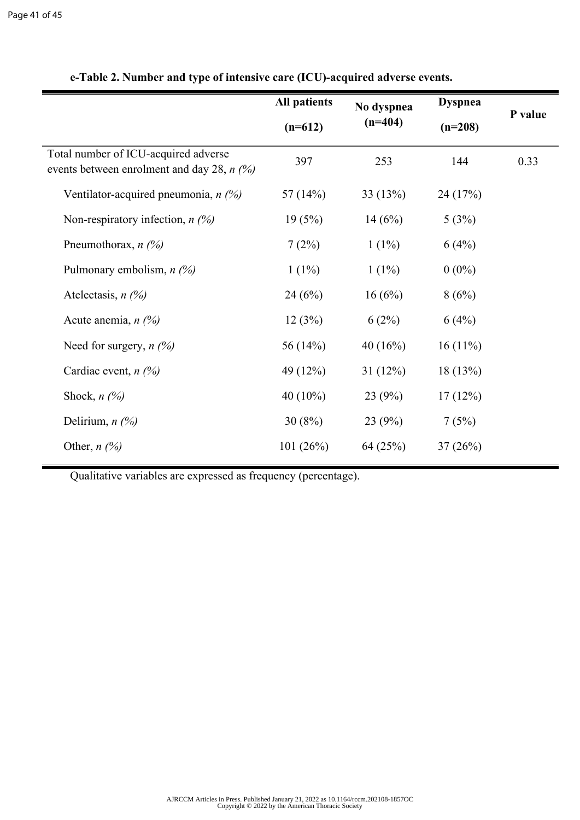|                                                                                      | <b>All patients</b><br>$(n=612)$ | No dyspnea<br>$(n=404)$ | <b>Dyspnea</b><br>$(n=208)$ | P value |
|--------------------------------------------------------------------------------------|----------------------------------|-------------------------|-----------------------------|---------|
| Total number of ICU-acquired adverse<br>events between enrolment and day 28, $n$ (%) | 397                              | 253                     | 144                         | 0.33    |
| Ventilator-acquired pneumonia, $n$ (%)                                               | 57 $(14%)$                       | 33(13%)                 | 24(17%)                     |         |
| Non-respiratory infection, $n$ (%)                                                   | 19(5%)                           | 14(6%)                  | 5(3%)                       |         |
| Pneumothorax, $n$ (%)                                                                | 7(2%)                            | $1(1\%)$                | 6(4%)                       |         |
| Pulmonary embolism, $n$ (%)                                                          | $1(1\%)$                         | $1(1\%)$                | $0(0\%)$                    |         |
| Atelectasis, $n$ (%)                                                                 | 24(6%)                           | 16(6%)                  | 8(6%)                       |         |
| Acute anemia, $n$ (%)                                                                | 12(3%)                           | 6(2%)                   | 6(4%)                       |         |
| Need for surgery, $n$ (%)                                                            | 56 $(14%)$                       | 40 $(16%)$              | $16(11\%)$                  |         |
| Cardiac event, $n$ (%)                                                               | 49 (12%)                         | 31(12%)                 | 18(13%)                     |         |
| Shock, $n$ (%)                                                                       | 40 $(10\%)$                      | 23(9%)                  | 17(12%)                     |         |
| Delirium, $n$ $(\%)$                                                                 | 30(8%)                           | 23(9%)                  | 7(5%)                       |         |
| Other, $n$ (%)                                                                       | 101(26%)                         | 64 (25%)                | 37(26%)                     |         |

**e-Table 2. Number and type of intensive care (ICU)-acquired adverse events.**

Qualitative variables are expressed as frequency (percentage).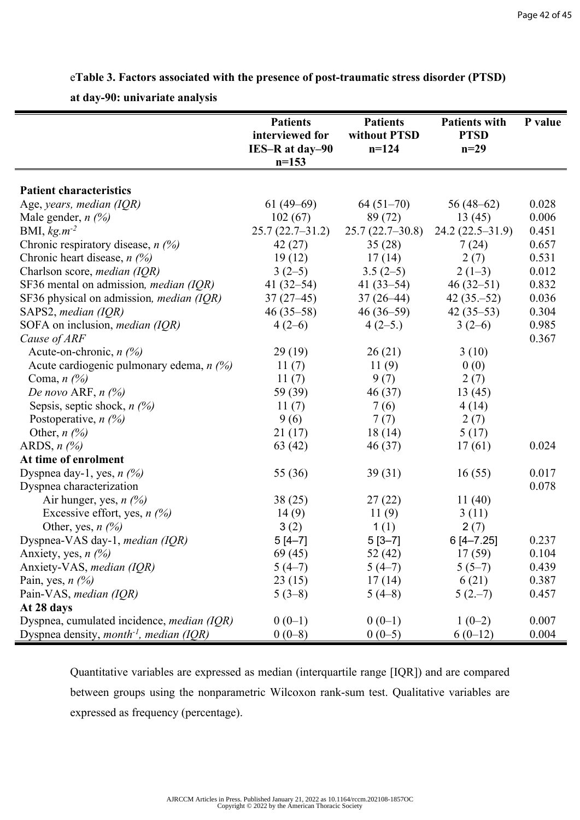e**Table 3. Factors associated with the presence of post-traumatic stress disorder (PTSD)** 

**at day-90: univariate analysis** 

|                                                                   | <b>Patients</b><br>interviewed for | <b>Patients</b><br>without PTSD | <b>Patients with</b><br><b>PTSD</b> | P value |
|-------------------------------------------------------------------|------------------------------------|---------------------------------|-------------------------------------|---------|
|                                                                   | IES-R at day-90                    | $n = 124$                       | $n=29$                              |         |
|                                                                   | $n=153$                            |                                 |                                     |         |
|                                                                   |                                    |                                 |                                     |         |
| <b>Patient characteristics</b>                                    |                                    |                                 |                                     |         |
| Age, years, median (IQR)                                          | $61(49-69)$                        | $64(51-70)$                     | $56(48-62)$                         | 0.028   |
| Male gender, $n \, (%)$                                           | 102(67)                            | 89 (72)                         | 13(45)                              | 0.006   |
| BMI, $kg.m^{-2}$                                                  | $25.7(22.7-31.2)$                  | $25.7(22.7-30.8)$               | $24.2(22.5-31.9)$                   | 0.451   |
| Chronic respiratory disease, $n$ (%)                              | 42(27)                             | 35(28)                          | 7(24)                               | 0.657   |
| Chronic heart disease, $n$ (%)                                    | 19(12)                             | 17(14)                          | 2(7)                                | 0.531   |
| Charlson score, median (IQR)                                      | $3(2-5)$                           | $3.5(2-5)$                      | $2(1-3)$                            | 0.012   |
| SF36 mental on admission, <i>median</i> (IQR)                     | 41 $(32-54)$                       | 41 $(33-54)$                    | $46(32 - 51)$                       | 0.832   |
| SF36 physical on admission, <i>median</i> (IQR)                   | $37(27-45)$                        | $37(26-44)$                     | $42(35,-52)$                        | 0.036   |
| SAPS2, median (IQR)                                               | $46(35-58)$                        | $46(36-59)$                     | $42(35-53)$                         | 0.304   |
| SOFA on inclusion, median (IQR)                                   | $4(2-6)$                           | $4(2-5)$                        | $3(2-6)$                            | 0.985   |
| Cause of ARF                                                      |                                    |                                 |                                     | 0.367   |
| Acute-on-chronic, $n$ (%)                                         | 29(19)                             | 26(21)                          | 3(10)                               |         |
| Acute cardiogenic pulmonary edema, $n$ (%)                        | 11(7)                              | 11(9)                           | 0(0)                                |         |
| Coma, $n$ (%)                                                     | 11(7)                              | 9(7)                            | 2(7)                                |         |
| De novo ARF, $n$ $(\%)$                                           | 59 (39)                            | 46(37)                          | 13(45)                              |         |
| Sepsis, septic shock, $n$ (%)                                     | 11(7)                              | 7(6)                            | 4(14)                               |         |
| Postoperative, $n$ (%)                                            | 9(6)                               | 7(7)                            | 2(7)                                |         |
| Other, $n$ (%)                                                    | 21(17)                             | 18(14)                          | 5(17)                               |         |
| ARDS, $n$ $\left(\frac{\%}{\%}\right)$                            | 63 (42)                            | 46(37)                          | 17(61)                              | 0.024   |
| At time of enrolment                                              |                                    |                                 |                                     |         |
| Dyspnea day-1, yes, $n$ (%)                                       | 55 (36)                            | 39(31)                          | 16(55)                              | 0.017   |
| Dyspnea characterization                                          |                                    |                                 |                                     | 0.078   |
| Air hunger, yes, $n$ (%)                                          | 38(25)                             | 27(22)                          | 11 $(40)$                           |         |
| Excessive effort, yes, $n$ (%)                                    | 14(9)                              | 11(9)                           | 3(11)                               |         |
| Other, yes, $n$ (%)                                               | 3(2)                               | 1 $(1)$                         | 2(7)                                |         |
| Dyspnea-VAS day-1, median (IQR)                                   | $5[4-7]$                           | $5[3-7]$                        | $6[4 - 7.25]$                       | 0.237   |
| Anxiety, yes, $n$ (%)                                             | 69 (45)                            | 52(42)                          | 17(59)                              | 0.104   |
| Anxiety-VAS, median (IQR)                                         | $5(4-7)$                           | $5(4-7)$                        | $5(5-7)$                            | 0.439   |
| Pain, yes, $n$ (%)                                                | 23(15)                             | 17(14)                          | 6(21)                               | 0.387   |
| Pain-VAS, median (IQR)                                            | $5(3-8)$                           | $5(4-8)$                        | $5(2,-7)$                           | 0.457   |
| At 28 days                                                        |                                    |                                 |                                     |         |
| Dyspnea, cumulated incidence, median (IQR)                        | $0(0-1)$                           | $0(0-1)$                        | $1(0-2)$                            | 0.007   |
| Dyspnea density, <i>month</i> <sup>-1</sup> , <i>median</i> (IQR) | $0(0-8)$                           | $0(0-5)$                        | $6(0-12)$                           | 0.004   |

Quantitative variables are expressed as median (interquartile range [IQR]) and are compared between groups using the nonparametric Wilcoxon rank-sum test. Qualitative variables are expressed as frequency (percentage).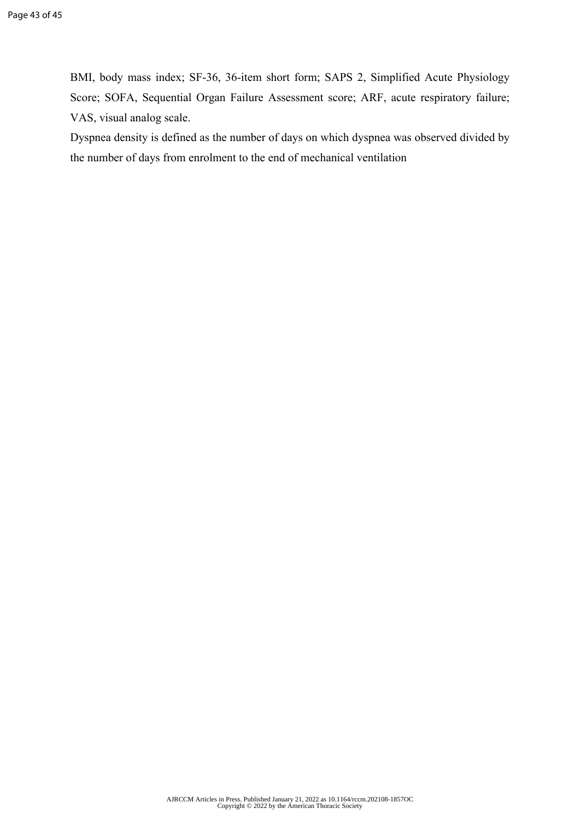BMI, body mass index; SF-36, 36-item short form; SAPS 2, Simplified Acute Physiology Score; SOFA, Sequential Organ Failure Assessment score; ARF, acute respiratory failure; VAS, visual analog scale.

Dyspnea density is defined as the number of days on which dyspnea was observed divided by the number of days from enrolment to the end of mechanical ventilation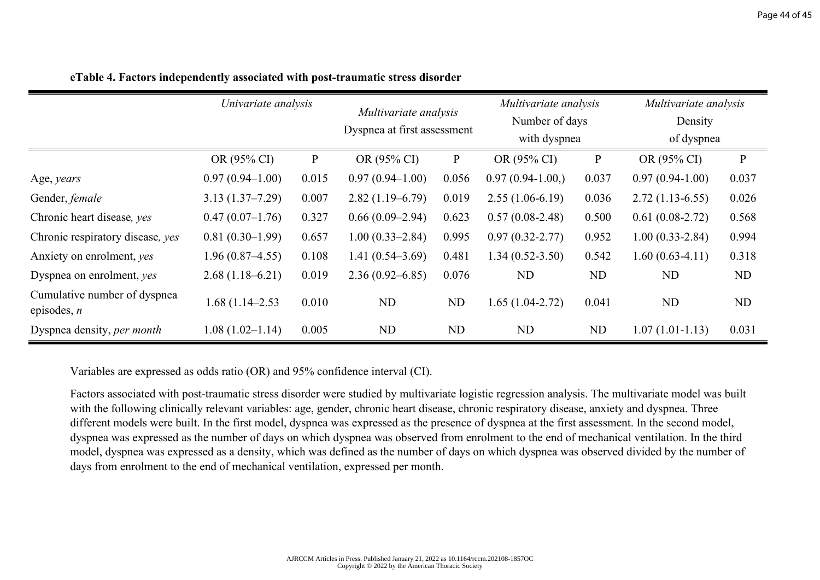|                                               | Univariate analysis |              | Multivariate analysis<br>Dyspnea at first assessment |              | Multivariate analysis<br>Number of days<br>with dyspnea |             | Multivariate analysis<br>Density<br>of dyspnea |              |
|-----------------------------------------------|---------------------|--------------|------------------------------------------------------|--------------|---------------------------------------------------------|-------------|------------------------------------------------|--------------|
|                                               | OR (95% CI)         | $\mathbf{P}$ | OR (95% CI)                                          | $\mathbf{P}$ | OR (95% CI)                                             | $\mathbf P$ | OR (95% CI)                                    | $\mathbf{P}$ |
| Age, years                                    | $0.97(0.94 - 1.00)$ | 0.015        | $0.97(0.94 - 1.00)$                                  | 0.056        | $0.97(0.94-1.00)$                                       | 0.037       | $0.97(0.94-1.00)$                              | 0.037        |
| Gender, female                                | $3.13(1.37 - 7.29)$ | 0.007        | $2.82(1.19-6.79)$                                    | 0.019        | $2.55(1.06-6.19)$                                       | 0.036       | $2.72(1.13-6.55)$                              | 0.026        |
| Chronic heart disease, yes                    | $0.47(0.07-1.76)$   | 0.327        | $0.66(0.09-2.94)$                                    | 0.623        | $0.57(0.08-2.48)$                                       | 0.500       | $0.61(0.08-2.72)$                              | 0.568        |
| Chronic respiratory disease, yes              | $0.81(0.30-1.99)$   | 0.657        | $1.00(0.33 - 2.84)$                                  | 0.995        | $0.97(0.32 - 2.77)$                                     | 0.952       | $1.00(0.33 - 2.84)$                            | 0.994        |
| Anxiety on enrolment, yes                     | $1.96(0.87 - 4.55)$ | 0.108        | $1.41(0.54 - 3.69)$                                  | 0.481        | $1.34(0.52 - 3.50)$                                     | 0.542       | $1.60(0.63-4.11)$                              | 0.318        |
| Dyspnea on enrolment, yes                     | $2.68(1.18-6.21)$   | 0.019        | $2.36(0.92 - 6.85)$                                  | 0.076        | ND                                                      | ND          | ND                                             | ND           |
| Cumulative number of dyspnea<br>episodes, $n$ | $1.68(1.14 - 2.53)$ | 0.010        | ND                                                   | ND           | $1.65(1.04-2.72)$                                       | 0.041       | ND                                             | ND           |
| Dyspnea density, per month                    | $1.08(1.02 - 1.14)$ | 0.005        | ND                                                   | ND           | ND                                                      | ND          | $1.07(1.01 - 1.13)$                            | 0.031        |

**eTable 4. Factors independently associated with post-traumatic stress disorder**

Variables are expressed as odds ratio (OR) and 95% confidence interval (CI).

Factors associated with post-traumatic stress disorder were studied by multivariate logistic regression analysis. The multivariate model was built with the following clinically relevant variables: age, gender, chronic heart disease, chronic respiratory disease, anxiety and dyspnea. Three different models were built. In the first model, dyspnea was expressed as the presence of dyspnea at the first assessment. In the second model, dyspnea was expressed as the number of days on which dyspnea was observed from enrolment to the end of mechanical ventilation. In the third model, dyspnea was expressed as a density, which was defined as the number of days on which dyspnea was observed divided by the number of days from enrolment to the end of mechanical ventilation, expressed per month.